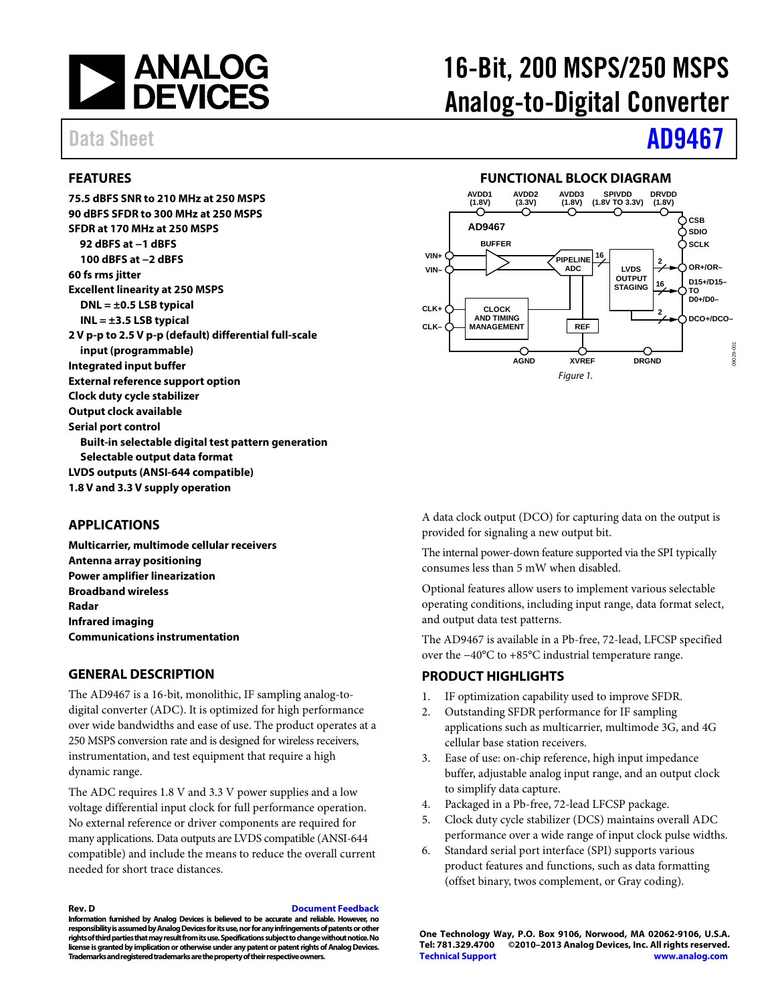

### <span id="page-0-0"></span>**FEATURES**

**75.5 dBFS SNR to 210 MHz at 250 MSPS 90 dBFS SFDR to 300 MHz at 250 MSPS SFDR at 170 MHz at 250 MSPS 92 dBFS at −1 dBFS 100 dBFS at −2 dBFS 60 fs rms jitter Excellent linearity at 250 MSPS DNL = ±0.5 LSB typical INL = ±3.5 LSB typical 2 V p-p to 2.5 V p-p (default) differential full-scale input (programmable) Integrated input buffer External reference support option Clock duty cycle stabilizer Output clock available Serial port control Built-in selectable digital test pattern generation Selectable output data format LVDS outputs (ANSI-644 compatible) 1.8 V and 3.3 V supply operation**

### <span id="page-0-1"></span>**APPLICATIONS**

**Multicarrier, multimode cellular receivers Antenna array positioning Power amplifier linearization Broadband wireless Radar Infrared imaging Communications instrumentation**

#### <span id="page-0-2"></span>**GENERAL DESCRIPTION**

The AD9467 is a 16-bit, monolithic, IF sampling analog-todigital converter (ADC). It is optimized for high performance over wide bandwidths and ease of use. The product operates at a 250 MSPS conversion rate and is designed for wireless receivers, instrumentation, and test equipment that require a high dynamic range.

The ADC requires 1.8 V and 3.3 V power supplies and a low voltage differential input clock for full performance operation. No external reference or driver components are required for many applications. Data outputs are LVDS compatible (ANSI-644 compatible) and include the means to reduce the overall current needed for short trace distances.

#### **Rev. D [Document Feedback](https://form.analog.com/Form_Pages/feedback/documentfeedback.aspx?doc=AD9467.pdf&product=AD9467&rev=D)**

**Information furnished by Analog Devices is believed to be accurate and reliable. However, no responsibility is assumed by Analog Devices for its use, nor for any infringements of patents or other rights of third parties that may result from its use. Specifications subject to change without notice. No license is granted by implication or otherwise under any patent or patent rights of Analog Devices. Trademarks and registered trademarks are the property of their respective owners.**

# 16-Bit, 200 MSPS/250 MSPS Analog-to-Digital Converter

# Data Sheet **[AD9467](http://www.analog.com/AD9467?doc=AD9467.pdf)**

### **FUNCTIONAL BLOCK DIAGRAM**

<span id="page-0-3"></span>

A data clock output (DCO) for capturing data on the output is provided for signaling a new output bit.

The internal power-down feature supported via the SPI typically consumes less than 5 mW when disabled.

Optional features allow users to implement various selectable operating conditions, including input range, data format select, and output data test patterns.

The AD9467 is available in a Pb-free, 72-lead, LFCSP specified over the −40°C to +85°C industrial temperature range.

### <span id="page-0-4"></span>**PRODUCT HIGHLIGHTS**

- 1. IF optimization capability used to improve SFDR.
- 2. Outstanding SFDR performance for IF sampling applications such as multicarrier, multimode 3G, and 4G cellular base station receivers.
- 3. Ease of use: on-chip reference, high input impedance buffer, adjustable analog input range, and an output clock to simplify data capture.
- 4. Packaged in a Pb-free, 72-lead LFCSP package.
- 5. Clock duty cycle stabilizer (DCS) maintains overall ADC performance over a wide range of input clock pulse widths.
- 6. Standard serial port interface (SPI) supports various product features and functions, such as data formatting (offset binary, twos complement, or Gray coding).

**One Technology Way, P.O. Box 9106, Norwood, MA 02062-9106, U.S.A.**  $\sim$  2010–2013 Analog Devices, Inc. All rights reserved. **[Technical Support](http://www.analog.com/en/content/technical_support_page/fca.html) [www.analog.com](http://www.analog.com/)**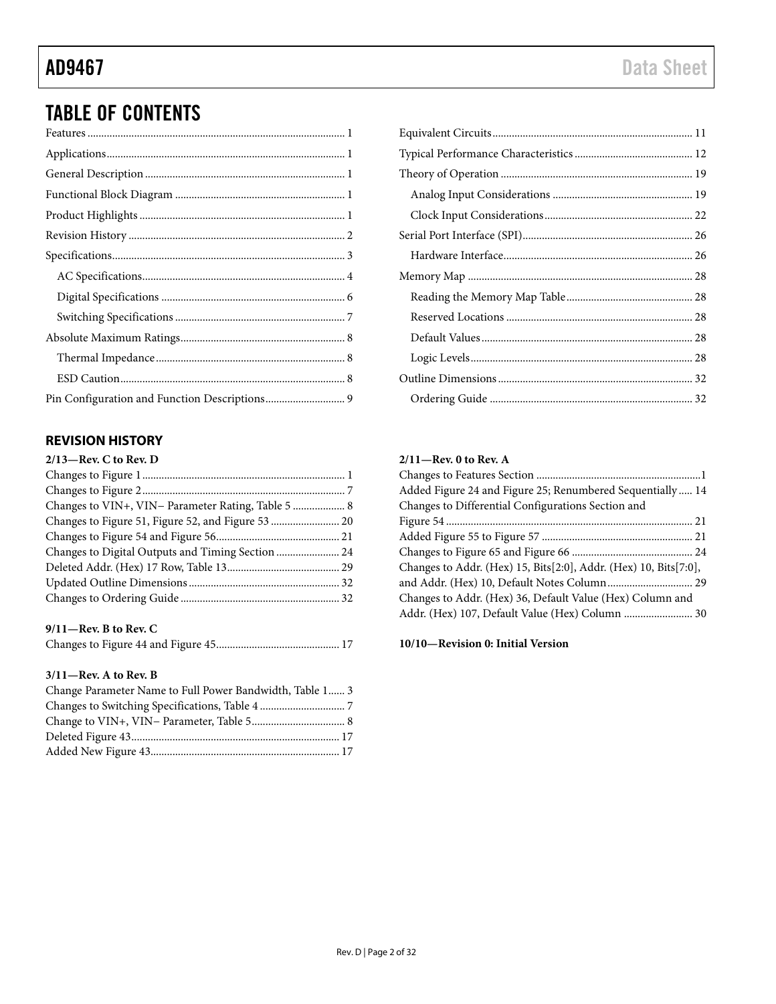# TABLE OF CONTENTS

### <span id="page-1-0"></span>**REVISION HISTORY**

| $2/13$ —Rev. C to Rev. D                           |  |
|----------------------------------------------------|--|
|                                                    |  |
|                                                    |  |
| Changes to VIN+, VIN- Parameter Rating, Table 5  8 |  |
|                                                    |  |
|                                                    |  |
| Changes to Digital Outputs and Timing Section  24  |  |
|                                                    |  |
|                                                    |  |
|                                                    |  |
|                                                    |  |

#### **9/11—Rev. B to Rev. C**

|--|--|

#### **3/11—Rev. A to Rev. B**

| Change Parameter Name to Full Power Bandwidth, Table 1 3 |  |
|----------------------------------------------------------|--|
|                                                          |  |
|                                                          |  |
|                                                          |  |
|                                                          |  |

#### **2/11—Rev. 0 to Rev. A**

| Added Figure 24 and Figure 25; Renumbered Sequentially  14       |  |
|------------------------------------------------------------------|--|
| Changes to Differential Configurations Section and               |  |
|                                                                  |  |
|                                                                  |  |
|                                                                  |  |
| Changes to Addr. (Hex) 15, Bits[2:0], Addr. (Hex) 10, Bits[7:0], |  |
| and Addr. (Hex) 10, Default Notes Column 29                      |  |
| Changes to Addr. (Hex) 36, Default Value (Hex) Column and        |  |
| Addr. (Hex) 107, Default Value (Hex) Column  30                  |  |
|                                                                  |  |

**10/10—Revision 0: Initial Version**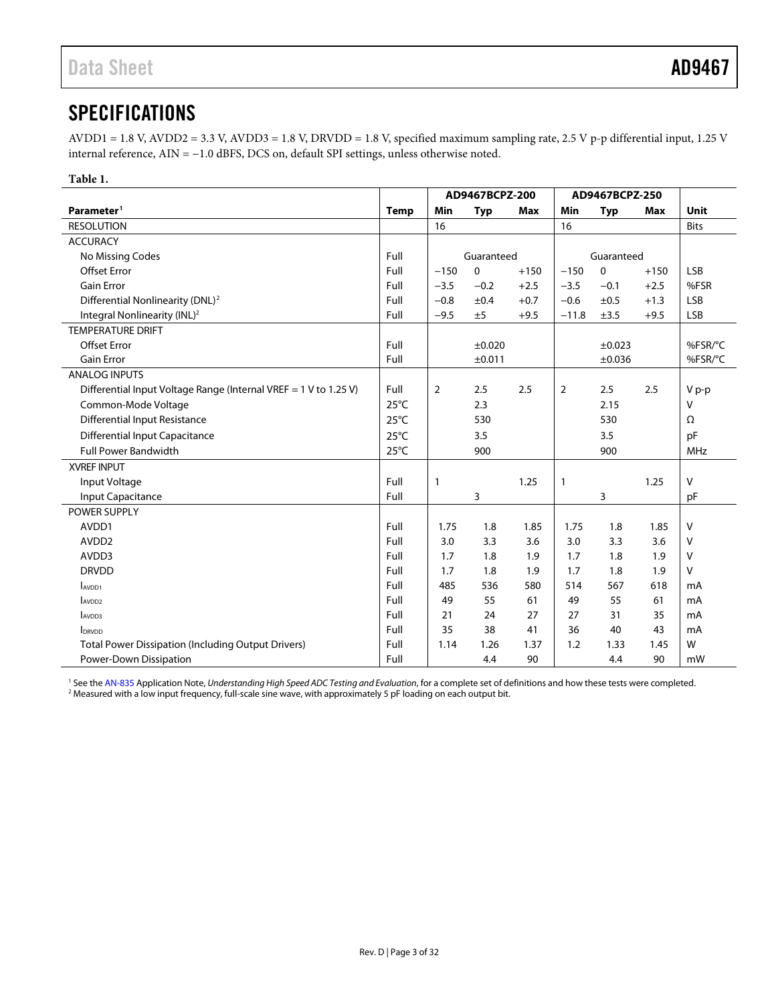# <span id="page-2-2"></span><span id="page-2-0"></span>**SPECIFICATIONS**

AVDD1 = 1.8 V, AVDD2 = 3.3 V, AVDD3 = 1.8 V, DRVDD = 1.8 V, specified maximum sampling rate, 2.5 V p-p differential input, 1.25 V internal reference, AIN = −1.0 dBFS, DCS on, default SPI settings, unless otherwise noted.

<span id="page-2-3"></span>**Table 1.** 

<span id="page-2-1"></span>

|                                                                  |                | AD9467BCPZ-200 |            |            | AD9467BCPZ-250 |             |            |             |
|------------------------------------------------------------------|----------------|----------------|------------|------------|----------------|-------------|------------|-------------|
| Parameter <sup>1</sup>                                           | <b>Temp</b>    | <b>Min</b>     | <b>Typ</b> | <b>Max</b> | Min            | <b>Typ</b>  | <b>Max</b> | Unit        |
| <b>RESOLUTION</b>                                                |                | 16             |            |            | 16             |             |            | <b>Bits</b> |
| <b>ACCURACY</b>                                                  |                |                |            |            |                |             |            |             |
| No Missing Codes                                                 | Full           |                | Guaranteed |            |                | Guaranteed  |            |             |
| <b>Offset Error</b>                                              | Full           | $-150$         | $\Omega$   | $+150$     | $-150$         | $\Omega$    | $+150$     | <b>LSB</b>  |
| <b>Gain Error</b>                                                | Full           | $-3.5$         | $-0.2$     | $+2.5$     | $-3.5$         | $-0.1$      | $+2.5$     | %FSR        |
| Differential Nonlinearity (DNL) <sup>2</sup>                     | Full           | $-0.8$         | ±0.4       | $+0.7$     | $-0.6$         | ±0.5        | $+1.3$     | <b>LSB</b>  |
| Integral Nonlinearity (INL) <sup>2</sup>                         | Full           | $-9.5$         | ±5         | $+9.5$     | $-11.8$        | ±3.5        | $+9.5$     | <b>LSB</b>  |
| <b>TEMPERATURE DRIFT</b>                                         |                |                |            |            |                |             |            |             |
| <b>Offset Error</b>                                              | Full           |                | ±0.020     |            |                | ±0.023      |            | %FSR/°C     |
| <b>Gain Error</b>                                                | Full           |                | ±0.011     |            |                | $\pm 0.036$ |            | %FSR/°C     |
| <b>ANALOG INPUTS</b>                                             |                |                |            |            |                |             |            |             |
| Differential Input Voltage Range (Internal VREF = 1 V to 1.25 V) | Full           | $\overline{2}$ | 2.5        | 2.5        | $\overline{2}$ | 2.5         | 2.5        | V p-p       |
| Common-Mode Voltage                                              | $25^{\circ}$ C |                | 2.3        |            |                | 2.15        |            | $\vee$      |
| <b>Differential Input Resistance</b>                             | $25^{\circ}$ C |                | 530        |            |                | 530         |            | Ω           |
| <b>Differential Input Capacitance</b>                            | $25^{\circ}$ C |                | 3.5        |            |                | 3.5         |            | pF          |
| <b>Full Power Bandwidth</b>                                      | $25^{\circ}$ C |                | 900        |            |                | 900         |            | MHz         |
| <b>XVREF INPUT</b>                                               |                |                |            |            |                |             |            |             |
| Input Voltage                                                    | Full           | $\mathbf{1}$   |            | 1.25       | $\mathbf{1}$   |             | 1.25       | $\vee$      |
| Input Capacitance                                                | Full           |                | 3          |            |                | 3           |            | pF          |
| POWER SUPPLY                                                     |                |                |            |            |                |             |            |             |
| AVDD1                                                            | Full           | 1.75           | 1.8        | 1.85       | 1.75           | 1.8         | 1.85       | $\vee$      |
| AVDD <sub>2</sub>                                                | Full           | 3.0            | 3.3        | 3.6        | 3.0            | 3.3         | 3.6        | V           |
| AVDD3                                                            | Full           | 1.7            | 1.8        | 1.9        | 1.7            | 1.8         | 1.9        | $\vee$      |
| <b>DRVDD</b>                                                     | Full           | 1.7            | 1.8        | 1.9        | 1.7            | 1.8         | 1.9        | V           |
| AV <sub>DD1</sub>                                                | Full           | 485            | 536        | 580        | 514            | 567         | 618        | mA          |
| AVDD <sub>2</sub>                                                | Full           | 49             | 55         | 61         | 49             | 55          | 61         | mA          |
| AV <sub>DD3</sub>                                                | Full           | 21             | 24         | 27         | 27             | 31          | 35         | mA          |
| <b>IDRVDD</b>                                                    | Full           | 35             | 38         | 41         | 36             | 40          | 43         | mA          |
| <b>Total Power Dissipation (Including Output Drivers)</b>        | Full           | 1.14           | 1.26       | 1.37       | 1.2            | 1.33        | 1.45       | W           |
| Power-Down Dissipation                                           | Full           |                | 4.4        | 90         |                | 4.4         | 90         | mW          |

<sup>1</sup> See the AN-835 Application Note, Understanding High Speed ADC Testing and Evaluation, for a complete set of definitions and how these tests were completed.<br><sup>2</sup> Measured with a low input frequency, full-scale sine wave,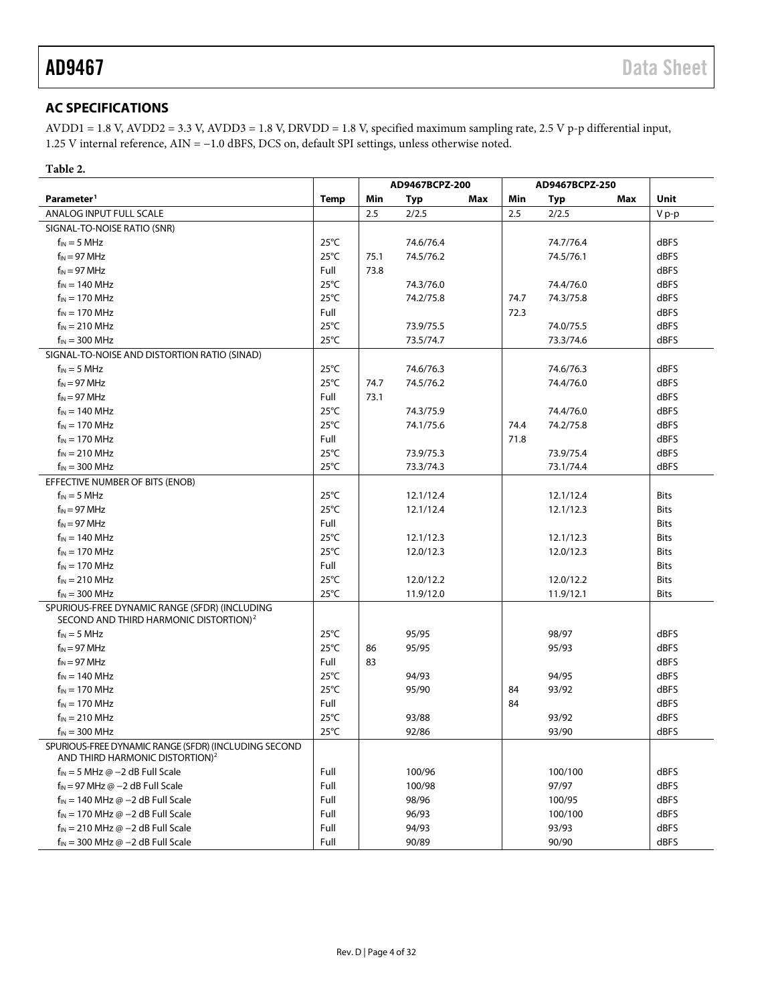### <span id="page-3-0"></span>**AC SPECIFICATIONS**

AVDD1 = 1.8 V, AVDD2 = 3.3 V, AVDD3 = 1.8 V, DRVDD = 1.8 V, specified maximum sampling rate, 2.5 V p-p differential input, 1.25 V internal reference, AIN = −1.0 dBFS, DCS on, default SPI settings, unless otherwise noted.

#### **Table 2.**

|                                                                                                     |                | AD9467BCPZ-200 |           |     | AD9467BCPZ-250 |           |     |             |
|-----------------------------------------------------------------------------------------------------|----------------|----------------|-----------|-----|----------------|-----------|-----|-------------|
| Parameter <sup>1</sup>                                                                              | Temp           | Min            | Typ       | Max | Min            | Typ       | Max | Unit        |
| ANALOG INPUT FULL SCALE                                                                             |                | 2.5            | 2/2.5     |     | 2.5            | 2/2.5     |     | V p-p       |
| SIGNAL-TO-NOISE RATIO (SNR)                                                                         |                |                |           |     |                |           |     |             |
| $f_{IN} = 5 MHz$                                                                                    | $25^{\circ}$ C |                | 74.6/76.4 |     |                | 74.7/76.4 |     | dBFS        |
| $f_{IN} = 97 \text{ MHz}$                                                                           | $25^{\circ}$ C | 75.1           | 74.5/76.2 |     |                | 74.5/76.1 |     | dBFS        |
| $f_{IN} = 97 \text{ MHz}$                                                                           | Full           | 73.8           |           |     |                |           |     | dBFS        |
| $f_{IN}$ = 140 MHz                                                                                  | $25^{\circ}$ C |                | 74.3/76.0 |     |                | 74.4/76.0 |     | dBFS        |
| $f_{IN}$ = 170 MHz                                                                                  | $25^{\circ}$ C |                | 74.2/75.8 |     | 74.7           | 74.3/75.8 |     | dBFS        |
| $f_{IN}$ = 170 MHz                                                                                  | Full           |                |           |     | 72.3           |           |     | dBFS        |
| $f_{IN}$ = 210 MHz                                                                                  | $25^{\circ}$ C |                | 73.9/75.5 |     |                | 74.0/75.5 |     | dBFS        |
| $f_{IN}$ = 300 MHz                                                                                  | $25^{\circ}$ C |                | 73.5/74.7 |     |                | 73.3/74.6 |     | dBFS        |
| SIGNAL-TO-NOISE AND DISTORTION RATIO (SINAD)                                                        |                |                |           |     |                |           |     |             |
| $f_{IN} = 5 MHz$                                                                                    | $25^{\circ}$ C |                | 74.6/76.3 |     |                | 74.6/76.3 |     | dBFS        |
| $f_{IN} = 97 \text{ MHz}$                                                                           | $25^{\circ}$ C | 74.7           | 74.5/76.2 |     |                | 74.4/76.0 |     | dBFS        |
| $f_{IN} = 97 \text{ MHz}$                                                                           | Full           | 73.1           |           |     |                |           |     | dBFS        |
| $f_{IN}$ = 140 MHz                                                                                  | $25^{\circ}$ C |                | 74.3/75.9 |     |                | 74.4/76.0 |     | dBFS        |
| $f_{IN}$ = 170 MHz                                                                                  | $25^{\circ}$ C |                | 74.1/75.6 |     | 74.4           | 74.2/75.8 |     | dBFS        |
| $f_{IN}$ = 170 MHz                                                                                  | Full           |                |           |     | 71.8           |           |     | dBFS        |
| $f_{IN}$ = 210 MHz                                                                                  | $25^{\circ}$ C |                | 73.9/75.3 |     |                | 73.9/75.4 |     | dBFS        |
| $f_{IN}$ = 300 MHz                                                                                  | $25^{\circ}$ C |                | 73.3/74.3 |     |                | 73.1/74.4 |     | dBFS        |
| EFFECTIVE NUMBER OF BITS (ENOB)                                                                     |                |                |           |     |                |           |     |             |
| $f_{IN} = 5 \text{ MHz}$                                                                            | $25^{\circ}$ C |                | 12.1/12.4 |     |                | 12.1/12.4 |     | <b>Bits</b> |
| $f_{IN} = 97 \text{ MHz}$                                                                           | $25^{\circ}$ C |                | 12.1/12.4 |     |                | 12.1/12.3 |     | <b>Bits</b> |
| $f_{IN} = 97 \text{ MHz}$                                                                           | Full           |                |           |     |                |           |     | <b>Bits</b> |
| $f_{IN}$ = 140 MHz                                                                                  | $25^{\circ}$ C |                | 12.1/12.3 |     |                | 12.1/12.3 |     | <b>Bits</b> |
| $f_{IN}$ = 170 MHz                                                                                  | $25^{\circ}$ C |                | 12.0/12.3 |     |                | 12.0/12.3 |     | <b>Bits</b> |
| $f_{IN}$ = 170 MHz                                                                                  | Full           |                |           |     |                |           |     | <b>Bits</b> |
| $f_{IN}$ = 210 MHz                                                                                  | $25^{\circ}$ C |                | 12.0/12.2 |     |                | 12.0/12.2 |     | <b>Bits</b> |
| $f_{IN}$ = 300 MHz                                                                                  | $25^{\circ}$ C |                | 11.9/12.0 |     |                | 11.9/12.1 |     | <b>Bits</b> |
| SPURIOUS-FREE DYNAMIC RANGE (SFDR) (INCLUDING<br>SECOND AND THIRD HARMONIC DISTORTION) <sup>2</sup> |                |                |           |     |                |           |     |             |
| $f_{IN} = 5$ MHz                                                                                    | $25^{\circ}$ C |                | 95/95     |     |                | 98/97     |     | dBFS        |
| $f_{IN}$ = 97 MHz                                                                                   | $25^{\circ}$ C | 86             | 95/95     |     |                | 95/93     |     | dBFS        |
| $f_{IN} = 97 \text{ MHz}$                                                                           | Full           | 83             |           |     |                |           |     | dBFS        |
| $f_{IN}$ = 140 MHz                                                                                  | $25^{\circ}$ C |                | 94/93     |     |                | 94/95     |     | dBFS        |
| $f_{IN}$ = 170 MHz                                                                                  | $25^{\circ}$ C |                | 95/90     |     | 84             | 93/92     |     | dBFS        |
| $f_{IN}$ = 170 MHz                                                                                  | Full           |                |           |     | 84             |           |     | dBFS        |
| $f_{IN}$ = 210 MHz                                                                                  | $25^{\circ}$ C |                | 93/88     |     |                | 93/92     |     | dBFS        |
| $f_{IN}$ = 300 MHz                                                                                  | $25^{\circ}$ C |                | 92/86     |     |                | 93/90     |     | dBFS        |
| SPURIOUS-FREE DYNAMIC RANGE (SFDR) (INCLUDING SECOND<br>AND THIRD HARMONIC DISTORTION) <sup>2</sup> |                |                |           |     |                |           |     |             |
| $f_{IN}$ = 5 MHz $\omega$ -2 dB Full Scale                                                          | Full           |                | 100/96    |     |                | 100/100   |     | dBFS        |
| $f_{IN}$ = 97 MHz $\omega$ -2 dB Full Scale                                                         | Full           |                | 100/98    |     |                | 97/97     |     | dBFS        |
| $f_{IN}$ = 140 MHz @ -2 dB Full Scale                                                               | Full           |                | 98/96     |     |                | 100/95    |     | dBFS        |
| $f_{IN}$ = 170 MHz $\omega$ -2 dB Full Scale                                                        | Full           |                | 96/93     |     |                | 100/100   |     | dBFS        |
| $f_{IN}$ = 210 MHz @ -2 dB Full Scale                                                               | Full           |                | 94/93     |     |                | 93/93     |     | dBFS        |
| $f_{IN}$ = 300 MHz @ -2 dB Full Scale                                                               | Full           |                | 90/89     |     |                | 90/90     |     | dBFS        |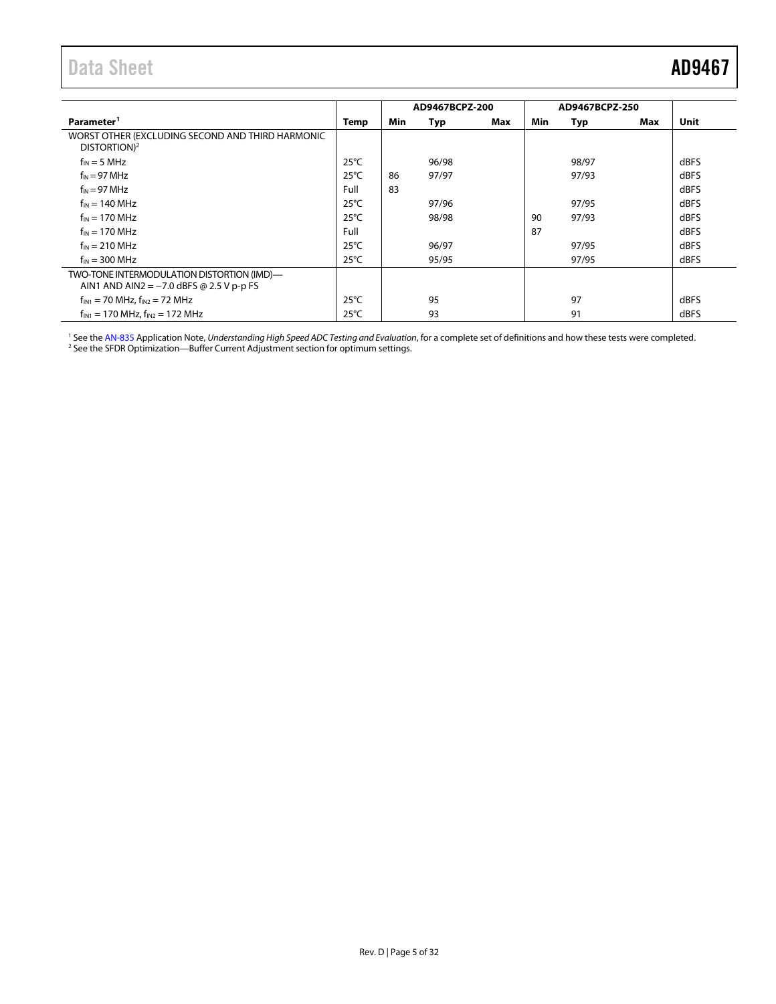<span id="page-4-0"></span>

|                                                                                          |                |     | AD9467BCPZ-200 |     |     | AD9467BCPZ-250 |     |             |
|------------------------------------------------------------------------------------------|----------------|-----|----------------|-----|-----|----------------|-----|-------------|
| Parameter <sup>1</sup>                                                                   | Temp           | Min | Typ            | Max | Min | Typ            | Max | <b>Unit</b> |
| WORST OTHER (EXCLUDING SECOND AND THIRD HARMONIC<br>DISTORTION) <sup>2</sup>             |                |     |                |     |     |                |     |             |
| $f_{IN} = 5 MHz$                                                                         | $25^{\circ}$ C |     | 96/98          |     |     | 98/97          |     | dBFS        |
| $f_{IN}$ = 97 MHz                                                                        | $25^{\circ}$ C | 86  | 97/97          |     |     | 97/93          |     | dBFS        |
| $f_{IN} = 97 \text{ MHz}$                                                                | Full           | 83  |                |     |     |                |     | dBFS        |
| $f_{IN}$ = 140 MHz                                                                       | $25^{\circ}$ C |     | 97/96          |     |     | 97/95          |     | dBFS        |
| $f_{IN}$ = 170 MHz                                                                       | $25^{\circ}$ C |     | 98/98          |     | 90  | 97/93          |     | dBFS        |
| $f_{IN}$ = 170 MHz                                                                       | Full           |     |                |     | 87  |                |     | dBFS        |
| $f_{IN}$ = 210 MHz                                                                       | $25^{\circ}$ C |     | 96/97          |     |     | 97/95          |     | dBFS        |
| $f_{IN}$ = 300 MHz                                                                       | $25^{\circ}$ C |     | 95/95          |     |     | 97/95          |     | dBFS        |
| TWO-TONE INTERMODULATION DISTORTION (IMD)-<br>AIN1 AND AIN2 = $-7.0$ dBFS @ 2.5 V p-p FS |                |     |                |     |     |                |     |             |
| $f_{IN1}$ = 70 MHz, $f_{IN2}$ = 72 MHz                                                   | $25^{\circ}$ C |     | 95             |     |     | 97             |     | dBFS        |
| $f_{IN1}$ = 170 MHz, $f_{IN2}$ = 172 MHz                                                 | $25^{\circ}$ C |     | 93             |     |     | 91             |     | dBFS        |

<sup>1</sup> See the AN-835 Application Note, *Understanding High Speed ADC Testing and Evaluation*, for a complete set of definitions and how these tests were completed.<br><sup>2</sup> See th[e SFDR Optimization—Buffer Current Adjustment](#page-18-2) sec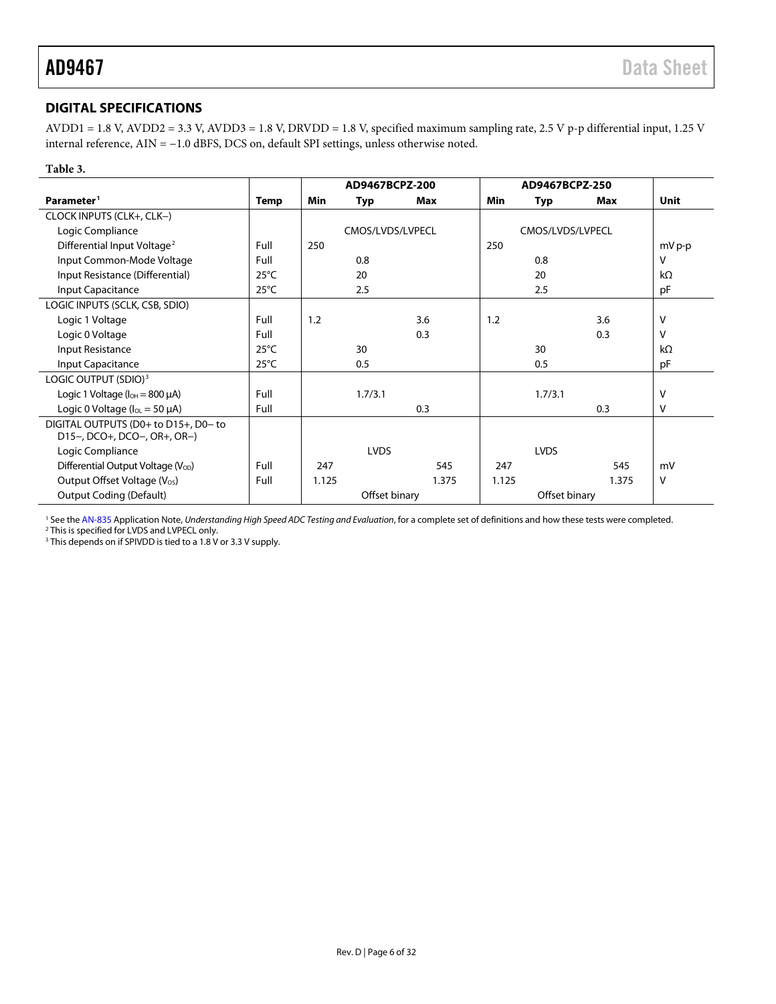### <span id="page-5-0"></span>**DIGITAL SPECIFICATIONS**

AVDD1 = 1.8 V, AVDD2 = 3.3 V, AVDD3 = 1.8 V, DRVDD = 1.8 V, specified maximum sampling rate, 2.5 V p-p differential input, 1.25 V internal reference, AIN = −1.0 dBFS, DCS on, default SPI settings, unless otherwise noted.

### **Table 3.**

|                                                |                |       | AD9467BCPZ-200   |       |            | AD9467BCPZ-250   |       |             |
|------------------------------------------------|----------------|-------|------------------|-------|------------|------------------|-------|-------------|
| Parameter <sup>1</sup>                         | Temp           | Min   | Typ              | Max   | <b>Min</b> | Typ              | Max   | <b>Unit</b> |
| CLOCK INPUTS (CLK+, CLK-)                      |                |       |                  |       |            |                  |       |             |
| Logic Compliance                               |                |       | CMOS/LVDS/LVPECL |       |            | CMOS/LVDS/LVPECL |       |             |
| Differential Input Voltage <sup>2</sup>        | Full           | 250   |                  |       | 250        |                  |       | mV p-p      |
| Input Common-Mode Voltage                      | Full           |       | 0.8              |       |            | 0.8              |       | v           |
| Input Resistance (Differential)                | $25^{\circ}$ C |       | 20               |       |            | 20               |       | $k\Omega$   |
| Input Capacitance                              | $25^{\circ}$ C |       | 2.5              |       |            | 2.5              |       | pF          |
| LOGIC INPUTS (SCLK, CSB, SDIO)                 |                |       |                  |       |            |                  |       |             |
| Logic 1 Voltage                                | Full           | 1.2   |                  | 3.6   | 1.2        |                  | 3.6   | v           |
| Logic 0 Voltage                                | Full           |       |                  | 0.3   |            |                  | 0.3   | V           |
| Input Resistance                               | $25^{\circ}$ C |       | 30               |       |            | 30               |       | $k\Omega$   |
| Input Capacitance                              | $25^{\circ}$ C |       | 0.5              |       |            | 0.5              |       | pF          |
| LOGIC OUTPUT (SDIO) <sup>3</sup>               |                |       |                  |       |            |                  |       |             |
| Logic 1 Voltage ( $I_{OH} = 800 \mu A$ )       | Full           |       | 1.7/3.1          |       |            | 1.7/3.1          |       | v           |
| Logic 0 Voltage ( $I_{OL} = 50 \mu A$ )        | Full           |       |                  | 0.3   |            |                  | 0.3   | ٧           |
| DIGITAL OUTPUTS (D0+ to D15+, D0- to           |                |       |                  |       |            |                  |       |             |
| D15-, DCO+, DCO-, OR+, OR-)                    |                |       |                  |       |            |                  |       |             |
| Logic Compliance                               |                |       | <b>LVDS</b>      |       |            | <b>LVDS</b>      |       |             |
| Differential Output Voltage (V <sub>OD</sub> ) | Full           | 247   |                  | 545   | 247        |                  | 545   | mV          |
| Output Offset Voltage (V <sub>os</sub> )       | Full           | 1.125 |                  | 1.375 | 1.125      |                  | 1.375 | v           |
| <b>Output Coding (Default)</b>                 |                |       | Offset binary    |       |            | Offset binary    |       |             |

<sup>1</sup> See the AN-835 Application Note, *Understanding High Speed ADC Testing and Evaluation,* for a complete set of definitions and how these tests were completed.<br><sup>2</sup> This is specified for LVDS and LVPECL only.

<sup>3</sup> This depends on if SPIVDD is tied to a 1.8 V or 3.3 V supply.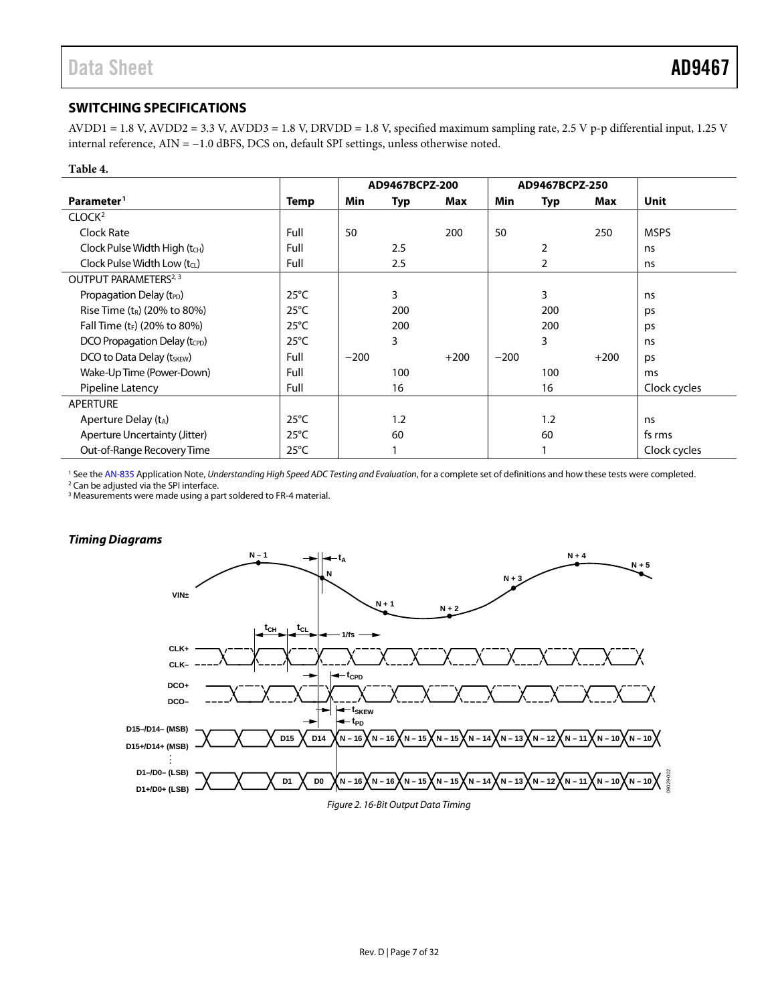### <span id="page-6-0"></span>**SWITCHING SPECIFICATIONS**

AVDD1 = 1.8 V, AVDD2 = 3.3 V, AVDD3 = 1.8 V, DRVDD = 1.8 V, specified maximum sampling rate, 2.5 V p-p differential input, 1.25 V internal reference, AIN = −1.0 dBFS, DCS on, default SPI settings, unless otherwise noted.

#### **Table 4.**

|                                           |                | AD9467BCPZ-200 |     | AD9467BCPZ-250 |        |                |        |              |
|-------------------------------------------|----------------|----------------|-----|----------------|--------|----------------|--------|--------------|
| Parameter <sup>1</sup>                    | Temp           | Min            | Typ | Max            | Min    | Typ            | Max    | Unit         |
| CLOCK <sup>2</sup>                        |                |                |     |                |        |                |        |              |
| Clock Rate                                | Full           | 50             |     | 200            | 50     |                | 250    | <b>MSPS</b>  |
| Clock Pulse Width High $(tCH)$            | Full           |                | 2.5 |                |        | 2              |        | ns           |
| Clock Pulse Width Low $(t_1)$             | Full           |                | 2.5 |                |        | $\overline{2}$ |        | ns           |
| OUTPUT PARAMETERS <sup>2, 3</sup>         |                |                |     |                |        |                |        |              |
| Propagation Delay (t <sub>PD</sub> )      | $25^{\circ}$ C |                | 3   |                |        | 3              |        | ns           |
| Rise Time $(t_R)$ (20% to 80%)            | $25^{\circ}$ C |                | 200 |                |        | 200            |        | ps           |
| Fall Time (t <sub>F</sub> ) (20% to 80%)  | $25^{\circ}$ C |                | 200 |                |        | 200            |        | ps           |
| DCO Propagation Delay (t <sub>CPD</sub> ) | $25^{\circ}$ C |                | 3   |                |        | 3              |        | ns           |
| DCO to Data Delay (tskEW)                 | Full           | $-200$         |     | $+200$         | $-200$ |                | $+200$ | ps           |
| Wake-Up Time (Power-Down)                 | Full           |                | 100 |                |        | 100            |        | ms           |
| Pipeline Latency                          | Full           |                | 16  |                |        | 16             |        | Clock cycles |
| <b>APERTURE</b>                           |                |                |     |                |        |                |        |              |
| Aperture Delay $(t_A)$                    | $25^{\circ}$ C |                | 1.2 |                |        | 1.2            |        | ns           |
| Aperture Uncertainty (Jitter)             | $25^{\circ}$ C |                | 60  |                |        | 60             |        | fs rms       |
| Out-of-Range Recovery Time                | $25^{\circ}$ C |                |     |                |        |                |        | Clock cycles |

<sup>1</sup> See the AN-835 Application Note, *Understanding High Speed ADC Testing and Evaluation*, for a complete set of definitions and how these tests were completed.<br><sup>2</sup> Can be adjusted via the SPI interface.

<sup>3</sup> Measurements were made using a part soldered to FR-4 material.

#### *Timing Diagrams*

<span id="page-6-1"></span>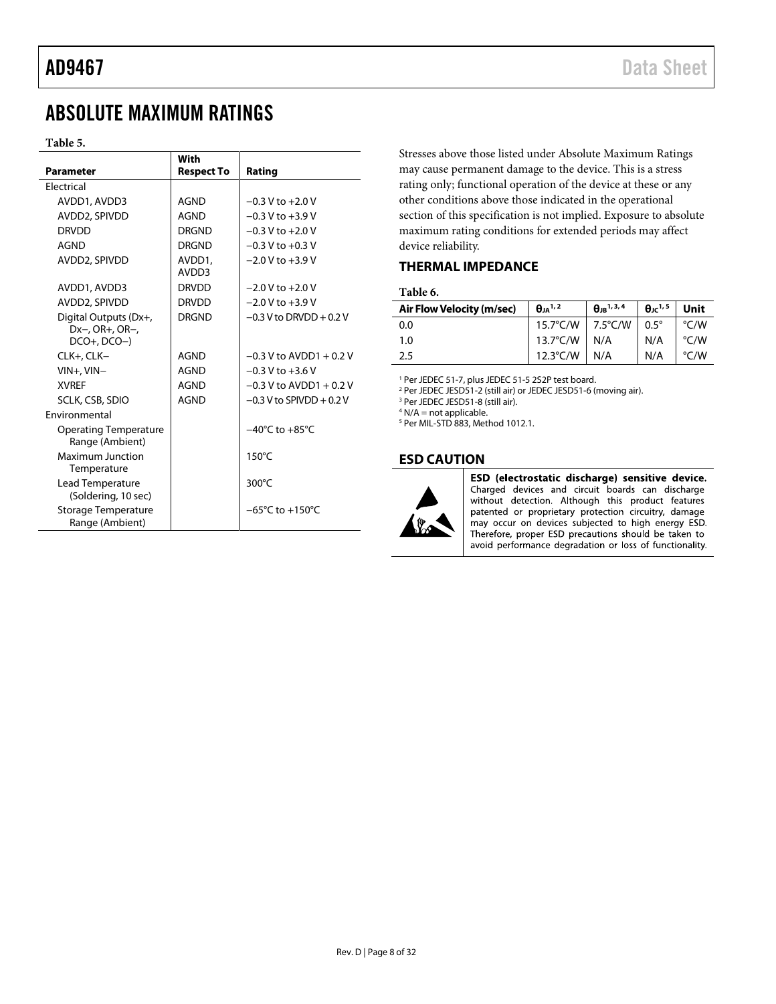# <span id="page-7-0"></span>ABSOLUTE MAXIMUM RATINGS

#### **Table 5.**

| <b>Parameter</b><br><b>Respect To</b><br><b>Flectrical</b><br>AVDD1, AVDD3<br>AGND<br>AVDD2, SPIVDD<br>AGND<br><b>DRVDD</b><br><b>DRGND</b><br>AGND<br><b>DRGND</b> | Rating                              |
|---------------------------------------------------------------------------------------------------------------------------------------------------------------------|-------------------------------------|
|                                                                                                                                                                     |                                     |
|                                                                                                                                                                     |                                     |
|                                                                                                                                                                     | $-0.3$ V to $+2.0$ V                |
|                                                                                                                                                                     | $-0.3 V$ to $+3.9 V$                |
|                                                                                                                                                                     | $-0.3$ V to $+2.0$ V                |
|                                                                                                                                                                     | $-0.3$ V to $+0.3$ V                |
| AVDD2, SPIVDD<br>AVDD1,<br>AVDD3                                                                                                                                    | $-2.0 V$ to $+3.9 V$                |
| <b>DRVDD</b><br>AVDD1, AVDD3                                                                                                                                        | $-2.0 V$ to $+2.0 V$                |
| AVDD2, SPIVDD<br><b>DRVDD</b>                                                                                                                                       | $-2.0 V$ to $+3.9 V$                |
| <b>DRGND</b><br>Digital Outputs (Dx+,<br>$Dx-, OR+, OR-,$<br>$DCO+$ , $DCO-)$                                                                                       | $-0.3$ V to DRVDD + 0.2 V           |
| AGND<br>CLK+, CLK-                                                                                                                                                  | $-0.3$ V to AVDD1 + 0.2 V           |
| $VIN+$ , $VIN-$<br>AGND                                                                                                                                             | $-0.3$ V to $+3.6$ V                |
| <b>XVRFF</b><br>AGND                                                                                                                                                | $-0.3$ V to AVDD1 + 0.2 V           |
| <b>AGND</b><br>SCLK, CSB, SDIO                                                                                                                                      | $-0.3$ V to SPIVDD + 0.2 V          |
| <b>Fnvironmental</b>                                                                                                                                                |                                     |
| <b>Operating Temperature</b><br>Range (Ambient)                                                                                                                     | $-40^{\circ}$ C to $+85^{\circ}$ C  |
| Maximum Junction<br>Temperature                                                                                                                                     | $150^{\circ}$ C                     |
| Lead Temperature<br>(Soldering, 10 sec)                                                                                                                             | 300°C                               |
| Storage Temperature<br>Range (Ambient)                                                                                                                              | $-65^{\circ}$ C to $+150^{\circ}$ C |

Stresses above those listed under Absolute Maximum Ratings may cause permanent damage to the device. This is a stress rating only; functional operation of the device at these or any other conditions above those indicated in the operational section of this specification is not implied. Exposure to absolute maximum rating conditions for extended periods may affect device reliability.

#### <span id="page-7-1"></span>**THERMAL IMPEDANCE**

**Table 6.** 

| Air Flow Velocity (m/sec) | $\theta_{JA}$ <sup>1,2</sup> | $\theta$ <sub>IR</sub> <sup>1, 3, 4</sup> | $\theta$ <sub>ic</sub> <sup>1,5</sup> Unit |               |  |
|---------------------------|------------------------------|-------------------------------------------|--------------------------------------------|---------------|--|
| 0.0                       | 15.7°C/W   7.5°C/W   0.5°    |                                           |                                            | $\degree$ C/W |  |
| 1.0                       | $13.7^{\circ}$ C/W N/A       |                                           | N/A                                        | °C/W          |  |
| -2.5                      | 12.3°C/W   N/A               |                                           | N/A                                        | $\degree$ C/W |  |

<sup>1</sup> Per JEDEC 51-7, plus JEDEC 51-5 2S2P test board.

<sup>2</sup> Per JEDEC JESD51-2 (still air) or JEDEC JESD51-6 (moving air).

<sup>3</sup> Per JEDEC JESD51-8 (still air).

 $4$  N/A = not applicable.

<sup>5</sup> Per MIL-STD 883, Method 1012.1.

#### <span id="page-7-2"></span>**ESD CAUTION**



ESD (electrostatic discharge) sensitive device. Charged devices and circuit boards can discharge<br>without detection. Although this product features patented or proprietary protection circuitry, damage may occur on devices subjected to high energy ESD. Therefore, proper ESD precautions should be taken to avoid performance degradation or loss of functionality.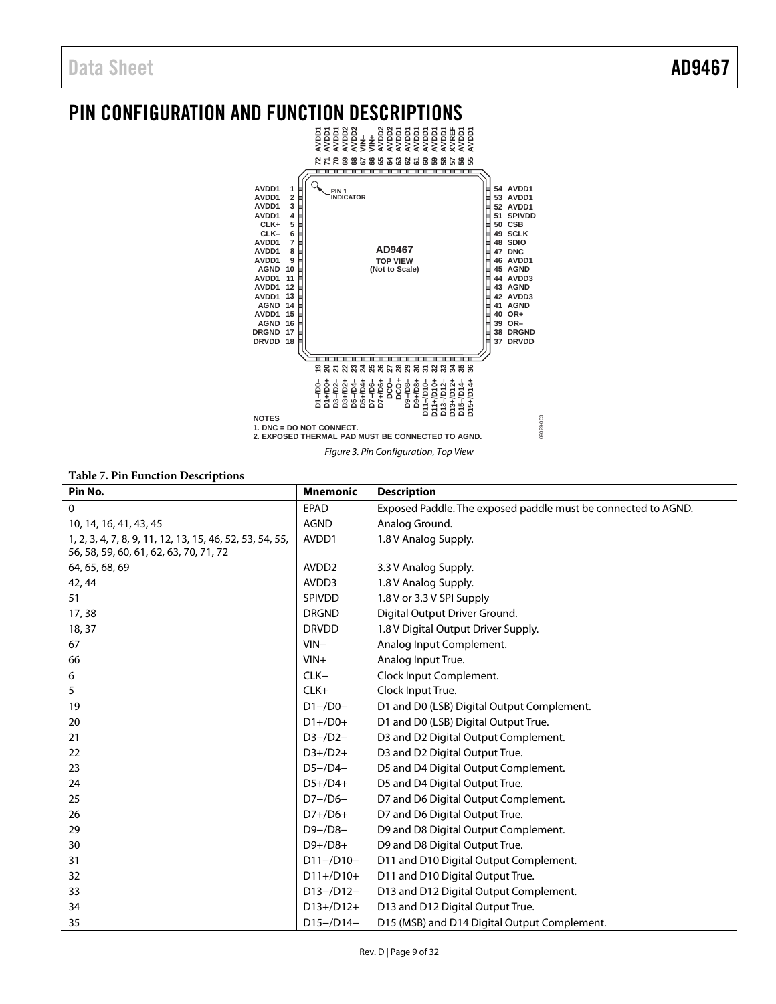# <span id="page-8-0"></span>PIN CONFIGURATION AND FUNCTION DESCRIPTIONS



**Table 7. Pin Function Descriptions**

| $\mathbf{0}$<br>Exposed Paddle. The exposed paddle must be connected to AGND.<br><b>EPAD</b><br><b>AGND</b><br>Analog Ground.<br>10, 14, 16, 41, 43, 45<br>AVDD1<br>1.8 V Analog Supply.<br>1, 2, 3, 4, 7, 8, 9, 11, 12, 13, 15, 46, 52, 53, 54, 55,<br>56, 58, 59, 60, 61, 62, 63, 70, 71, 72<br>AVDD <sub>2</sub><br>64, 65, 68, 69<br>3.3 V Analog Supply.<br>AVDD3<br>1.8 V Analog Supply.<br>42, 44<br>1.8 V or 3.3 V SPI Supply<br><b>SPIVDD</b><br>51<br>Digital Output Driver Ground.<br>17,38<br><b>DRGND</b><br><b>DRVDD</b><br>1.8 V Digital Output Driver Supply.<br>18, 37<br>Analog Input Complement.<br>$VIN -$<br>67<br>$VIN +$<br>Analog Input True.<br>66<br>$CLK-$<br>Clock Input Complement.<br>6<br>$CLK+$<br>Clock Input True.<br>5<br>$D1 - / D0 -$<br>D1 and D0 (LSB) Digital Output Complement.<br>19<br>$D1+/D0+$<br>D1 and D0 (LSB) Digital Output True.<br>20<br>$D3 - /D2 -$<br>D3 and D2 Digital Output Complement.<br>21<br>D3 and D2 Digital Output True.<br>$D3+/D2+$<br>22<br>$D5 - /D4 -$<br>D5 and D4 Digital Output Complement.<br>23<br>$D5+/D4+$<br>D5 and D4 Digital Output True.<br>24<br>D7 and D6 Digital Output Complement.<br>$D7 - /D6 -$<br>25<br>D7 and D6 Digital Output True.<br>$D7+/D6+$<br>26<br>D9 and D8 Digital Output Complement.<br>$D9 - / D8 -$<br>29<br>D9 and D8 Digital Output True.<br>$D9+/D8+$<br>30<br>$D11 - / D10 -$<br>D11 and D10 Digital Output Complement.<br>31<br>D11 and D10 Digital Output True.<br>$D11+/D10+$<br>32 | rabic 7.1 in 1 unction Descriptions |                 |                    |
|----------------------------------------------------------------------------------------------------------------------------------------------------------------------------------------------------------------------------------------------------------------------------------------------------------------------------------------------------------------------------------------------------------------------------------------------------------------------------------------------------------------------------------------------------------------------------------------------------------------------------------------------------------------------------------------------------------------------------------------------------------------------------------------------------------------------------------------------------------------------------------------------------------------------------------------------------------------------------------------------------------------------------------------------------------------------------------------------------------------------------------------------------------------------------------------------------------------------------------------------------------------------------------------------------------------------------------------------------------------------------------------------------------------------------------------------------------------------------------------------------|-------------------------------------|-----------------|--------------------|
|                                                                                                                                                                                                                                                                                                                                                                                                                                                                                                                                                                                                                                                                                                                                                                                                                                                                                                                                                                                                                                                                                                                                                                                                                                                                                                                                                                                                                                                                                                    | Pin No.                             | <b>Mnemonic</b> | <b>Description</b> |
|                                                                                                                                                                                                                                                                                                                                                                                                                                                                                                                                                                                                                                                                                                                                                                                                                                                                                                                                                                                                                                                                                                                                                                                                                                                                                                                                                                                                                                                                                                    |                                     |                 |                    |
|                                                                                                                                                                                                                                                                                                                                                                                                                                                                                                                                                                                                                                                                                                                                                                                                                                                                                                                                                                                                                                                                                                                                                                                                                                                                                                                                                                                                                                                                                                    |                                     |                 |                    |
|                                                                                                                                                                                                                                                                                                                                                                                                                                                                                                                                                                                                                                                                                                                                                                                                                                                                                                                                                                                                                                                                                                                                                                                                                                                                                                                                                                                                                                                                                                    |                                     |                 |                    |
|                                                                                                                                                                                                                                                                                                                                                                                                                                                                                                                                                                                                                                                                                                                                                                                                                                                                                                                                                                                                                                                                                                                                                                                                                                                                                                                                                                                                                                                                                                    |                                     |                 |                    |
|                                                                                                                                                                                                                                                                                                                                                                                                                                                                                                                                                                                                                                                                                                                                                                                                                                                                                                                                                                                                                                                                                                                                                                                                                                                                                                                                                                                                                                                                                                    |                                     |                 |                    |
|                                                                                                                                                                                                                                                                                                                                                                                                                                                                                                                                                                                                                                                                                                                                                                                                                                                                                                                                                                                                                                                                                                                                                                                                                                                                                                                                                                                                                                                                                                    |                                     |                 |                    |
|                                                                                                                                                                                                                                                                                                                                                                                                                                                                                                                                                                                                                                                                                                                                                                                                                                                                                                                                                                                                                                                                                                                                                                                                                                                                                                                                                                                                                                                                                                    |                                     |                 |                    |
|                                                                                                                                                                                                                                                                                                                                                                                                                                                                                                                                                                                                                                                                                                                                                                                                                                                                                                                                                                                                                                                                                                                                                                                                                                                                                                                                                                                                                                                                                                    |                                     |                 |                    |
|                                                                                                                                                                                                                                                                                                                                                                                                                                                                                                                                                                                                                                                                                                                                                                                                                                                                                                                                                                                                                                                                                                                                                                                                                                                                                                                                                                                                                                                                                                    |                                     |                 |                    |
|                                                                                                                                                                                                                                                                                                                                                                                                                                                                                                                                                                                                                                                                                                                                                                                                                                                                                                                                                                                                                                                                                                                                                                                                                                                                                                                                                                                                                                                                                                    |                                     |                 |                    |
|                                                                                                                                                                                                                                                                                                                                                                                                                                                                                                                                                                                                                                                                                                                                                                                                                                                                                                                                                                                                                                                                                                                                                                                                                                                                                                                                                                                                                                                                                                    |                                     |                 |                    |
|                                                                                                                                                                                                                                                                                                                                                                                                                                                                                                                                                                                                                                                                                                                                                                                                                                                                                                                                                                                                                                                                                                                                                                                                                                                                                                                                                                                                                                                                                                    |                                     |                 |                    |
|                                                                                                                                                                                                                                                                                                                                                                                                                                                                                                                                                                                                                                                                                                                                                                                                                                                                                                                                                                                                                                                                                                                                                                                                                                                                                                                                                                                                                                                                                                    |                                     |                 |                    |
|                                                                                                                                                                                                                                                                                                                                                                                                                                                                                                                                                                                                                                                                                                                                                                                                                                                                                                                                                                                                                                                                                                                                                                                                                                                                                                                                                                                                                                                                                                    |                                     |                 |                    |
|                                                                                                                                                                                                                                                                                                                                                                                                                                                                                                                                                                                                                                                                                                                                                                                                                                                                                                                                                                                                                                                                                                                                                                                                                                                                                                                                                                                                                                                                                                    |                                     |                 |                    |
|                                                                                                                                                                                                                                                                                                                                                                                                                                                                                                                                                                                                                                                                                                                                                                                                                                                                                                                                                                                                                                                                                                                                                                                                                                                                                                                                                                                                                                                                                                    |                                     |                 |                    |
|                                                                                                                                                                                                                                                                                                                                                                                                                                                                                                                                                                                                                                                                                                                                                                                                                                                                                                                                                                                                                                                                                                                                                                                                                                                                                                                                                                                                                                                                                                    |                                     |                 |                    |
|                                                                                                                                                                                                                                                                                                                                                                                                                                                                                                                                                                                                                                                                                                                                                                                                                                                                                                                                                                                                                                                                                                                                                                                                                                                                                                                                                                                                                                                                                                    |                                     |                 |                    |
|                                                                                                                                                                                                                                                                                                                                                                                                                                                                                                                                                                                                                                                                                                                                                                                                                                                                                                                                                                                                                                                                                                                                                                                                                                                                                                                                                                                                                                                                                                    |                                     |                 |                    |
|                                                                                                                                                                                                                                                                                                                                                                                                                                                                                                                                                                                                                                                                                                                                                                                                                                                                                                                                                                                                                                                                                                                                                                                                                                                                                                                                                                                                                                                                                                    |                                     |                 |                    |
|                                                                                                                                                                                                                                                                                                                                                                                                                                                                                                                                                                                                                                                                                                                                                                                                                                                                                                                                                                                                                                                                                                                                                                                                                                                                                                                                                                                                                                                                                                    |                                     |                 |                    |
|                                                                                                                                                                                                                                                                                                                                                                                                                                                                                                                                                                                                                                                                                                                                                                                                                                                                                                                                                                                                                                                                                                                                                                                                                                                                                                                                                                                                                                                                                                    |                                     |                 |                    |
|                                                                                                                                                                                                                                                                                                                                                                                                                                                                                                                                                                                                                                                                                                                                                                                                                                                                                                                                                                                                                                                                                                                                                                                                                                                                                                                                                                                                                                                                                                    |                                     |                 |                    |
|                                                                                                                                                                                                                                                                                                                                                                                                                                                                                                                                                                                                                                                                                                                                                                                                                                                                                                                                                                                                                                                                                                                                                                                                                                                                                                                                                                                                                                                                                                    |                                     |                 |                    |
| D13 and D12 Digital Output Complement.<br>$D13 - / D12 -$<br>33                                                                                                                                                                                                                                                                                                                                                                                                                                                                                                                                                                                                                                                                                                                                                                                                                                                                                                                                                                                                                                                                                                                                                                                                                                                                                                                                                                                                                                    |                                     |                 |                    |
| D13 and D12 Digital Output True.<br>$D13+/D12+$<br>34                                                                                                                                                                                                                                                                                                                                                                                                                                                                                                                                                                                                                                                                                                                                                                                                                                                                                                                                                                                                                                                                                                                                                                                                                                                                                                                                                                                                                                              |                                     |                 |                    |
| D15 (MSB) and D14 Digital Output Complement.<br>$D15 - / D14 -$<br>35                                                                                                                                                                                                                                                                                                                                                                                                                                                                                                                                                                                                                                                                                                                                                                                                                                                                                                                                                                                                                                                                                                                                                                                                                                                                                                                                                                                                                              |                                     |                 |                    |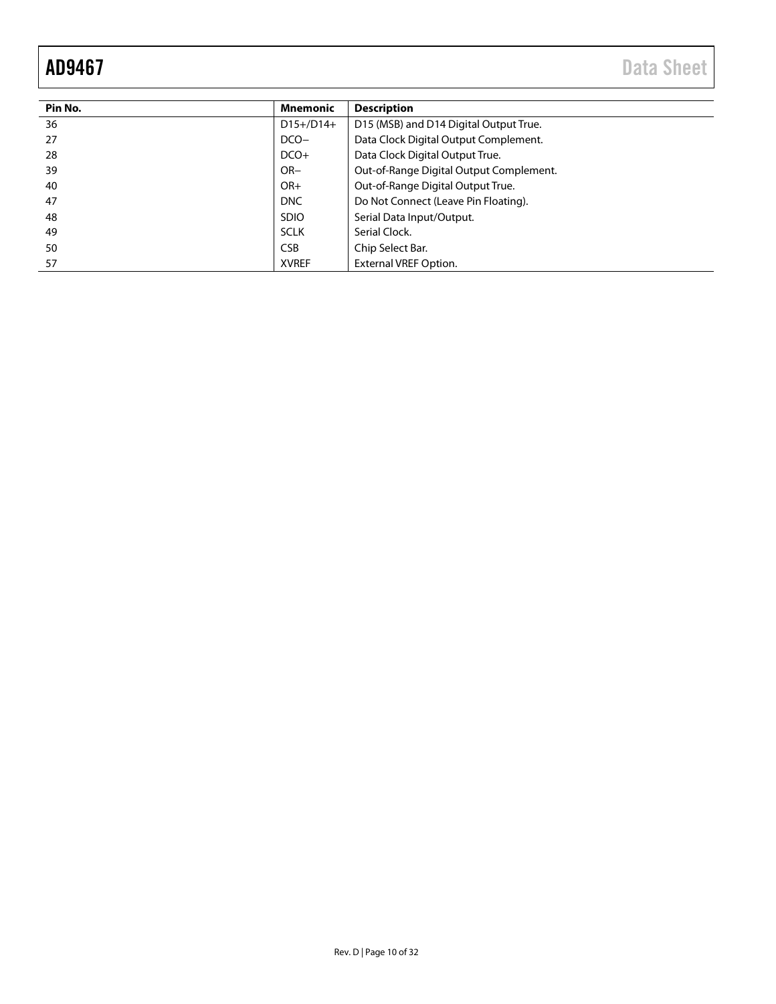AD9467 Data Sheet

| Pin No. | <b>Mnemonic</b> | <b>Description</b>                      |
|---------|-----------------|-----------------------------------------|
| 36      | $D15+/D14+$     | D15 (MSB) and D14 Digital Output True.  |
| 27      | $DCO-$          | Data Clock Digital Output Complement.   |
| 28      | $DCO+$          | Data Clock Digital Output True.         |
| 39      | $OR-$           | Out-of-Range Digital Output Complement. |
| 40      | $OR+$           | Out-of-Range Digital Output True.       |
| 47      | <b>DNC</b>      | Do Not Connect (Leave Pin Floating).    |
| 48      | <b>SDIO</b>     | Serial Data Input/Output.               |
| 49      | <b>SCLK</b>     | Serial Clock.                           |
| 50      | <b>CSB</b>      | Chip Select Bar.                        |
| 57      | <b>XVREF</b>    | <b>External VREF Option.</b>            |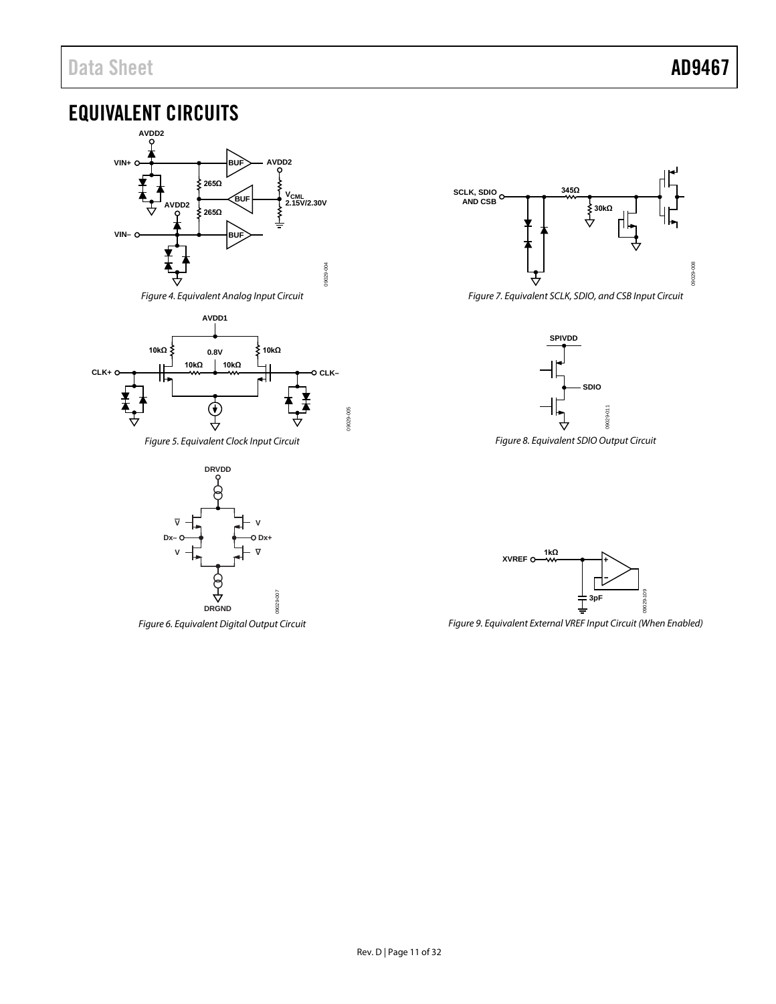# <span id="page-10-0"></span>EQUIVALENT CIRCUITS





*Figure 5. Equivalent Clock Input Circuit*



*Figure 6. Equivalent Digital Output Circuit*



*Figure 7. Equivalent SCLK, SDIO, and CSB Input Circuit* 



*Figure 8. Equivalent SDIO Output Circuit*



*Figure 9. Equivalent External VREF Input Circuit (When Enabled)*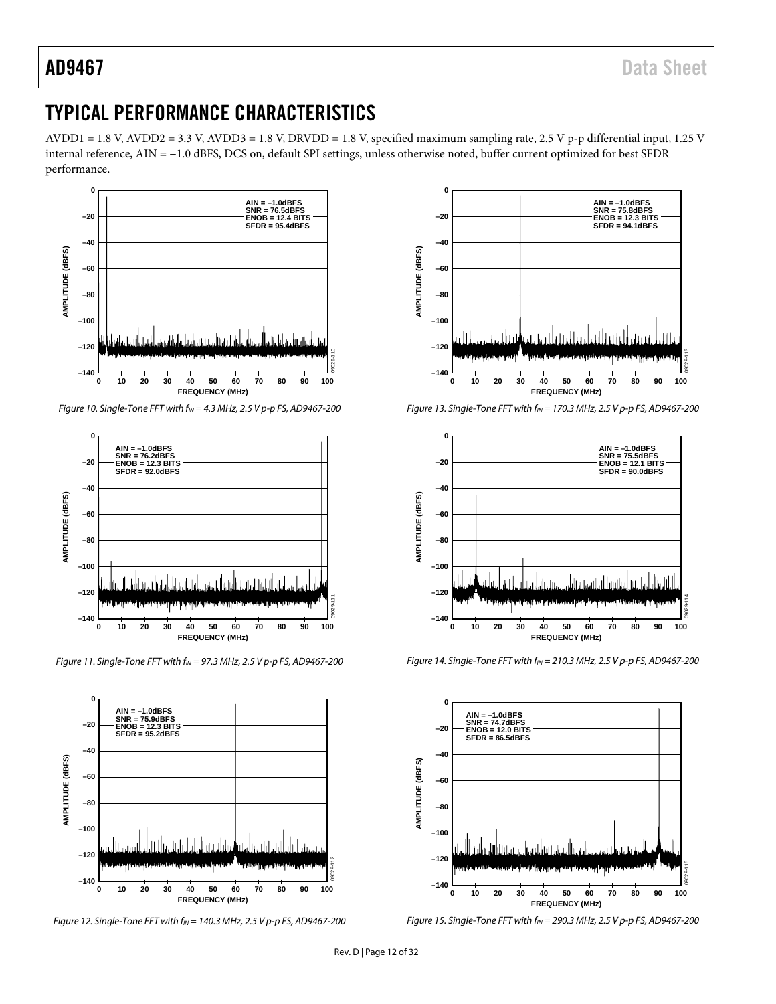# <span id="page-11-0"></span>TYPICAL PERFORMANCE CHARACTERISTICS

AVDD1 = 1.8 V, AVDD2 = 3.3 V, AVDD3 = 1.8 V, DRVDD = 1.8 V, specified maximum sampling rate, 2.5 V p-p differential input, 1.25 V internal reference, AIN = −1.0 dBFS, DCS on, default SPI settings, unless otherwise noted, buffer current optimized for best SFDR performance.



*Figure 10. Single-Tone FFT with fIN = 4.3 MHz, 2.5 V p-p FS, AD9467-200*



*Figure* 11. Single-Tone FFT with  $f_{IN}$  = 97.3 MHz, 2.5 V p-p FS, AD9467-200







*Figure 13. Single-Tone FFT with fIN = 170.3 MHz, 2.5 V p-p FS, AD9467-200*



*Figure 14. Single-Tone FFT with fIN = 210.3 MHz, 2.5 V p-p FS, AD9467-200*



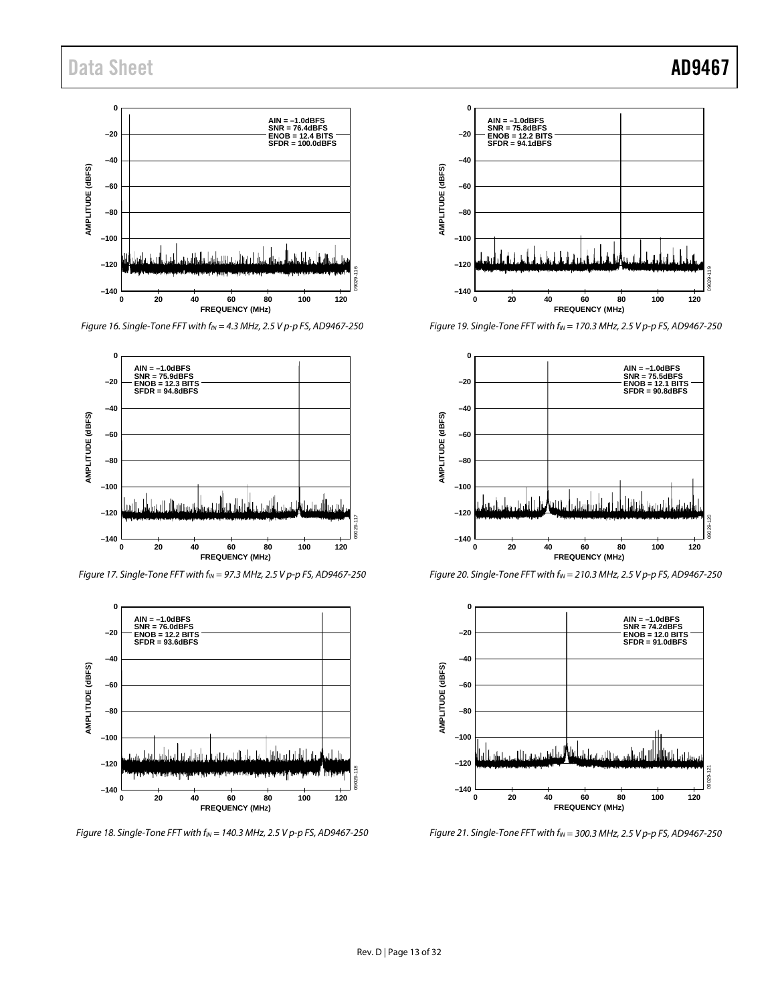

*Figure 16. Single-Tone FFT with fIN = 4.3 MHz, 2.5 V p-p FS, AD9467-250* 



*Figure 17. Single-Tone FFT with fIN = 97.3 MHz, 2.5 V p-p FS, AD9467-250* 



*Figure 18. Single-Tone FFT with fIN = 140.3 MHz, 2.5 V p-p FS, AD9467-250* 



*Figure 19. Single-Tone FFT with fIN = 170.3 MHz, 2.5 V p-p FS, AD9467-250* 



*Figure 20. Single-Tone FFT with fIN = 210.3 MHz, 2.5 V p-p FS, AD9467-250* 



*Figure 21. Single-Tone FFT with fIN = 300.3 MHz, 2.5 V p-p FS, AD9467-250*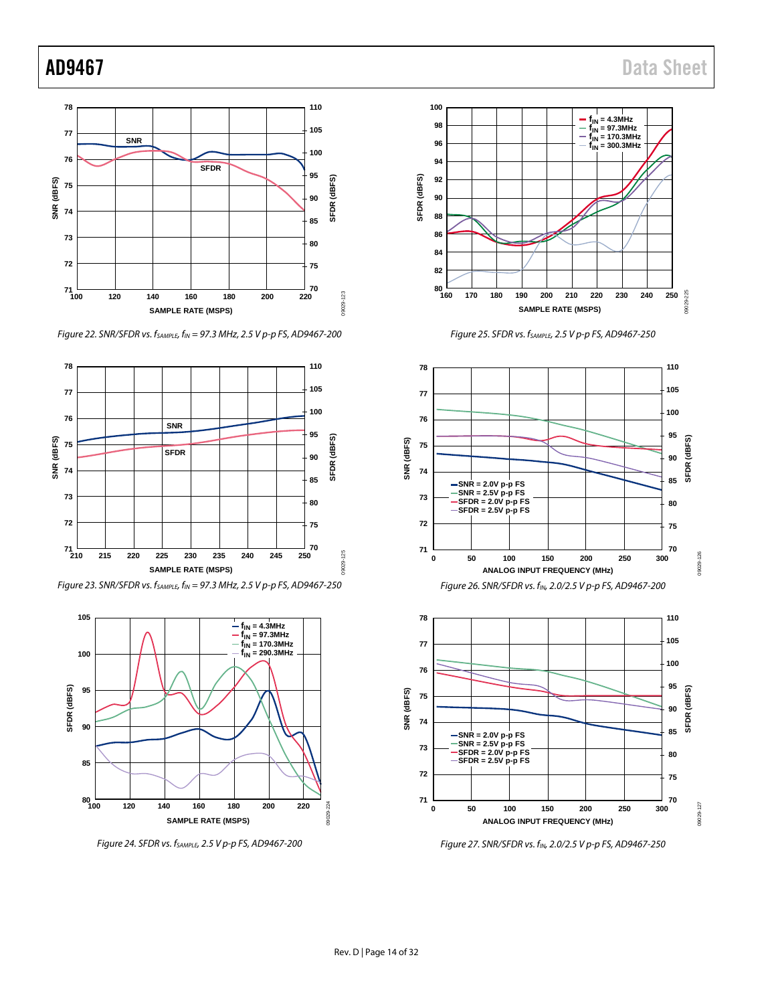# AD9467 Data Sheet



*Figure 22. SNR/SFDR vs. fSAMPLE, fIN = 97.3 MHz, 2.5 V p-p FS, AD9467-200*



*Figure 23. SNR/SFDR vs. fSAMPLE, fIN = 97.3 MHz, 2.5 V p-p FS, AD9467-250*



*Figure 24. SFDR vs. fSAMPLE, 2.5 V p-p FS, AD9467-200*









*Figure 27. SNR/SFDR vs. fIN, 2.0/2.5 V p-p FS, AD9467-250*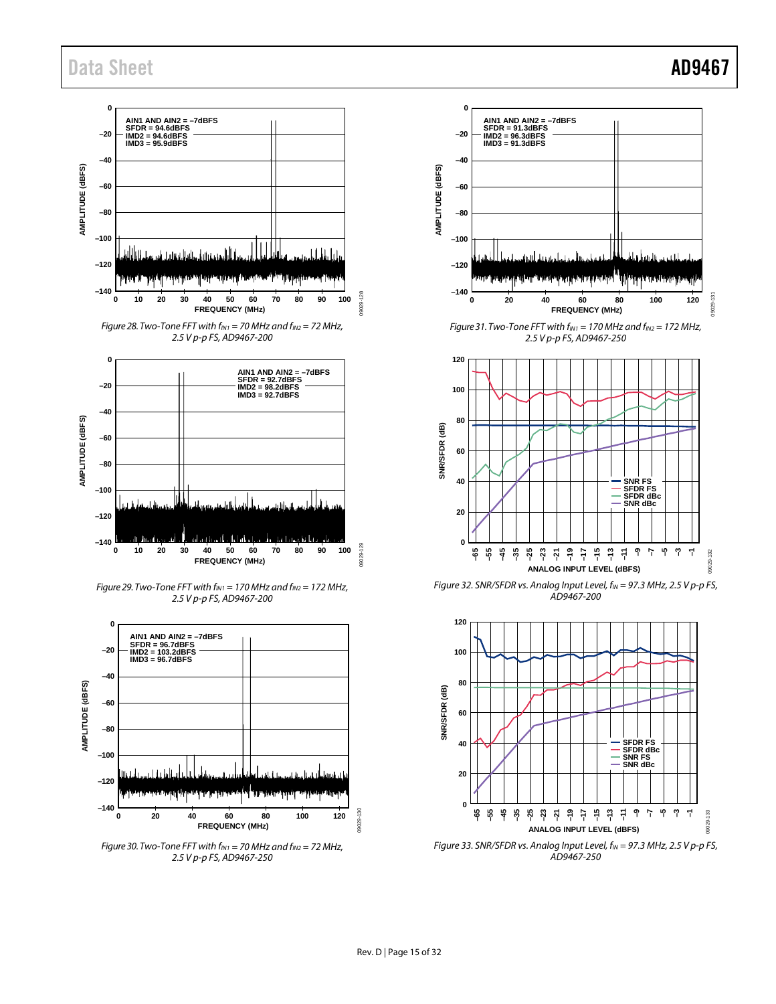

*Figure 28. Two-Tone FFT with fIN1 = 70 MHz and fIN2 = 72 MHz, 2.5 V p-p FS, AD9467-200* 



*Figure 29. Two-Tone FFT with fIN1 = 170 MHz and fIN2 = 172 MHz, 2.5 V p-p FS, AD9467-200* 



*Figure 30. Two-Tone FFT with*  $f_{IN1} = 70$  *MHz and*  $f_{IN2} = 72$  *MHz, 2.5 V p-p FS, AD9467-250* 



*Figure 31. Two-Tone FFT with fIN1 = 170 MHz and fIN2 = 172 MHz, 2.5 V p-p FS, AD9467-250* 



*Figure 32. SNR/SFDR vs. Analog Input Level, fIN = 97.3 MHz, 2.5 V p-p FS, AD9467-200* 



*Figure 33. SNR/SFDR vs. Analog Input Level, f<sub>IN</sub>* = 97.3 MHz, 2.5 V p-p FS, *AD9467-250*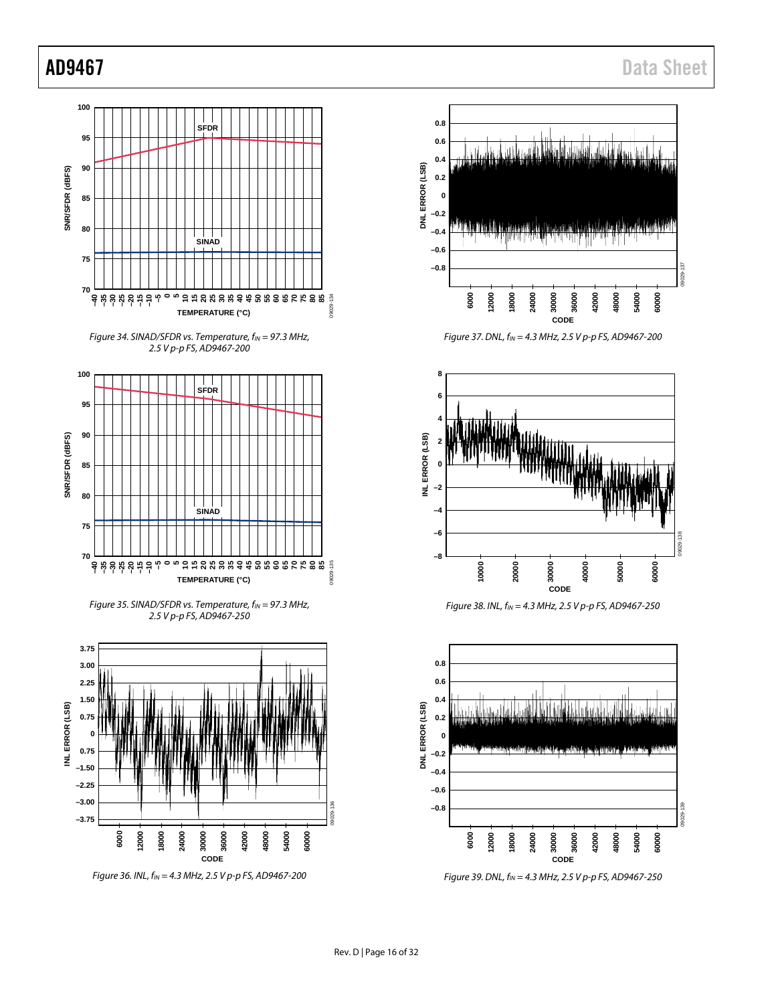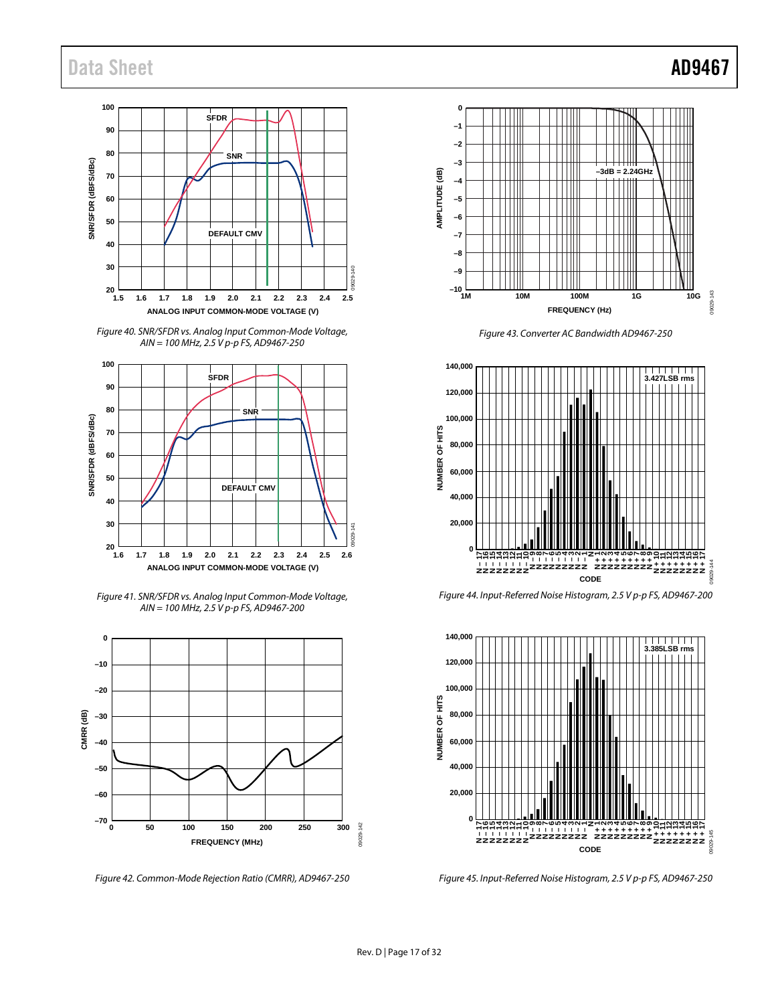

*Figure 40. SNR/SFDR vs. Analog Input Common-Mode Voltage, AIN = 100 MHz, 2.5 V p-p FS, AD9467-250* 



*Figure 41. SNR/SFDR vs. Analog Input Common-Mode Voltage, AIN = 100 MHz, 2.5 V p-p FS, AD9467-200* 

![](_page_16_Figure_5.jpeg)

*Figure 42. Common-Mode Rejection Ratio (CMRR), AD9467-250*

**0 –1 –2 –3 –3dB = 2.24GHz AMPLITUDE (dB)** AMPLITUDE (dB) **–4 –5 –6 –7 –8 –9 –10** 09029-143 09029-143 **1M 10M 100M 1G 10G FREQUENCY (Hz)**

*Figure 43. Converter AC Bandwidth AD9467-250* 

![](_page_16_Figure_9.jpeg)

*Figure 44. Input-Referred Noise Histogram, 2.5 V p-p FS, AD9467-200* 

![](_page_16_Figure_11.jpeg)

*Figure 45. Input-Referred Noise Histogram, 2.5 V p-p FS, AD9467-250*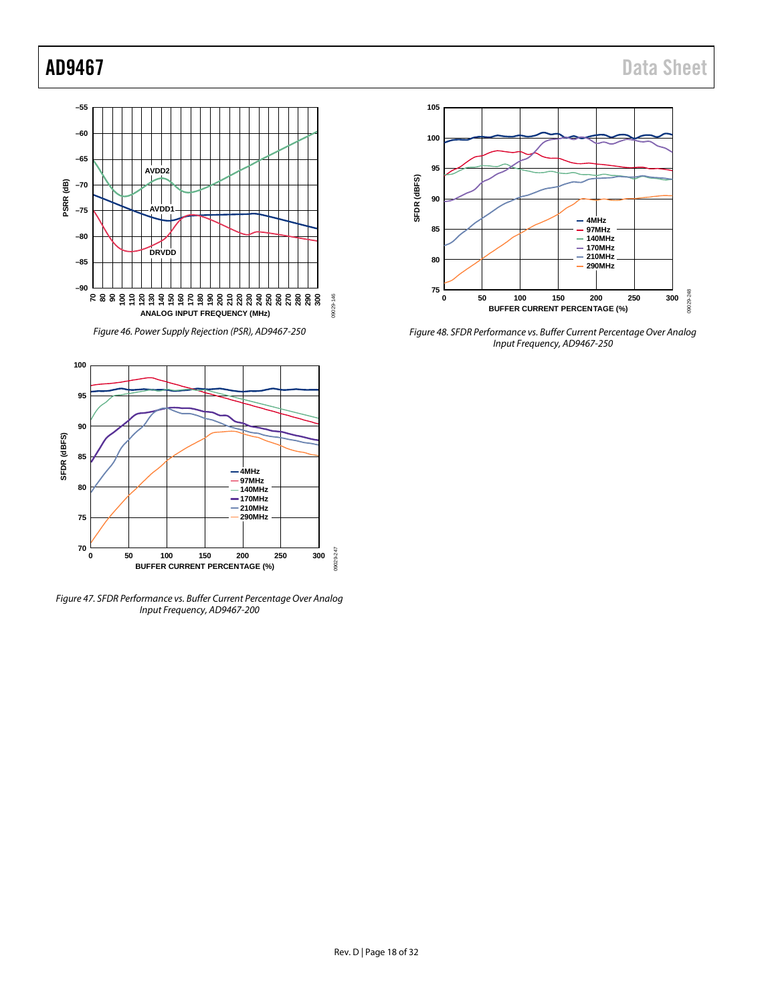![](_page_17_Figure_2.jpeg)

*Figure 46. Power Supply Rejection (PSR), AD9467-250*

![](_page_17_Figure_4.jpeg)

*Figure 47. SFDR Performance vs. Buffer Current Percentage Over Analog Input Frequency, AD9467-200* 

![](_page_17_Figure_6.jpeg)

*Figure 48. SFDR Performance vs. Buffer Current Percentage Over Analog Input Frequency, AD9467-250*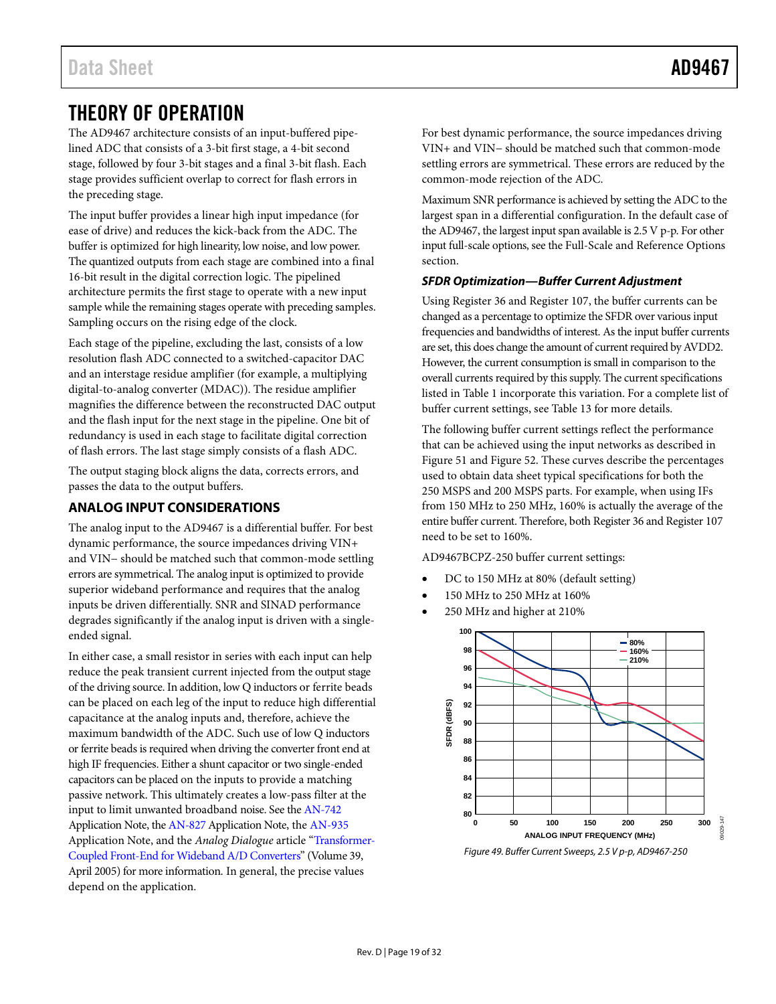# <span id="page-18-0"></span>THEORY OF OPERATION

The AD9467 architecture consists of an input-buffered pipelined ADC that consists of a 3-bit first stage, a 4-bit second stage, followed by four 3-bit stages and a final 3-bit flash. Each stage provides sufficient overlap to correct for flash errors in the preceding stage.

The input buffer provides a linear high input impedance (for ease of drive) and reduces the kick-back from the ADC. The buffer is optimized for high linearity, low noise, and low power. The quantized outputs from each stage are combined into a final 16-bit result in the digital correction logic. The pipelined architecture permits the first stage to operate with a new input sample while the remaining stages operate with preceding samples. Sampling occurs on the rising edge of the clock.

Each stage of the pipeline, excluding the last, consists of a low resolution flash ADC connected to a switched-capacitor DAC and an interstage residue amplifier (for example, a multiplying digital-to-analog converter (MDAC)). The residue amplifier magnifies the difference between the reconstructed DAC output and the flash input for the next stage in the pipeline. One bit of redundancy is used in each stage to facilitate digital correction of flash errors. The last stage simply consists of a flash ADC.

The output staging block aligns the data, corrects errors, and passes the data to the output buffers.

### <span id="page-18-1"></span>**ANALOG INPUT CONSIDERATIONS**

The analog input to the AD9467 is a differential buffer. For best dynamic performance, the source impedances driving VIN+ and VIN− should be matched such that common-mode settling errors are symmetrical. The analog input is optimized to provide superior wideband performance and requires that the analog inputs be driven differentially. SNR and SINAD performance degrades significantly if the analog input is driven with a singleended signal.

In either case, a small resistor in series with each input can help reduce the peak transient current injected from the output stage of the driving source. In addition, low Q inductors or ferrite beads can be placed on each leg of the input to reduce high differential capacitance at the analog inputs and, therefore, achieve the maximum bandwidth of the ADC. Such use of low Q inductors or ferrite beads is required when driving the converter front end at high IF frequencies. Either a shunt capacitor or two single-ended capacitors can be placed on the inputs to provide a matching passive network. This ultimately creates a low-pass filter at the input to limit unwanted broadband noise. See the [AN-742](http://www.analog.com/an-742) Application Note, th[e AN-827](http://www.analog.com/an-827) Application Note, th[e AN-935](http://www.analog.com/an-935) Application Note, and the *Analog Dialogue* article ["Transformer-](http://www.analog.com/library/analogDialogue/archives/39-04/transformer.html)[Coupled Front-End for Wideband A/D Converters"](http://www.analog.com/library/analogDialogue/archives/39-04/transformer.html) (Volume 39, April 2005) for more information. In general, the precise values depend on the application.

For best dynamic performance, the source impedances driving VIN+ and VIN− should be matched such that common-mode settling errors are symmetrical. These errors are reduced by the common-mode rejection of the ADC.

Maximum SNR performance is achieved by setting the ADC to the largest span in a differential configuration. In the default case of the AD9467, the largest input span available is 2.5 V p-p. For other input full-scale options, see the [Full-Scale and Reference Options](#page-22-0) section.

#### <span id="page-18-2"></span>*SFDR Optimization—Buffer Current Adjustment*

Using Register 36 and Register 107, the buffer currents can be changed as a percentage to optimize the SFDR over various input frequencies and bandwidths of interest. As the input buffer currents are set, this does change the amount of current required by AVDD2. However, the current consumption is small in comparison to the overall currents required by this supply. The current specifications listed i[n Table 1](#page-2-3) incorporate this variation. For a complete list of buffer current settings, se[e Table 13](#page-27-5) for more details.

The following buffer current settings reflect the performance that can be achieved using the input networks as described in [Figure 51](#page-19-0) an[d Figure 52.](#page-19-1) These curves describe the percentages used to obtain data sheet typical specifications for both the 250 MSPS and 200 MSPS parts. For example, when using IFs from 150 MHz to 250 MHz, 160% is actually the average of the entire buffer current. Therefore, both Register 36 and Register 107 need to be set to 160%.

AD9467BCPZ-250 buffer current settings:

- DC to 150 MHz at 80% (default setting)
- 150 MHz to 250 MHz at 160%
- 250 MHz and higher at 210%

![](_page_18_Figure_19.jpeg)

*Figure 49. Buffer Current Sweeps, 2.5 V p-p, AD9467-250*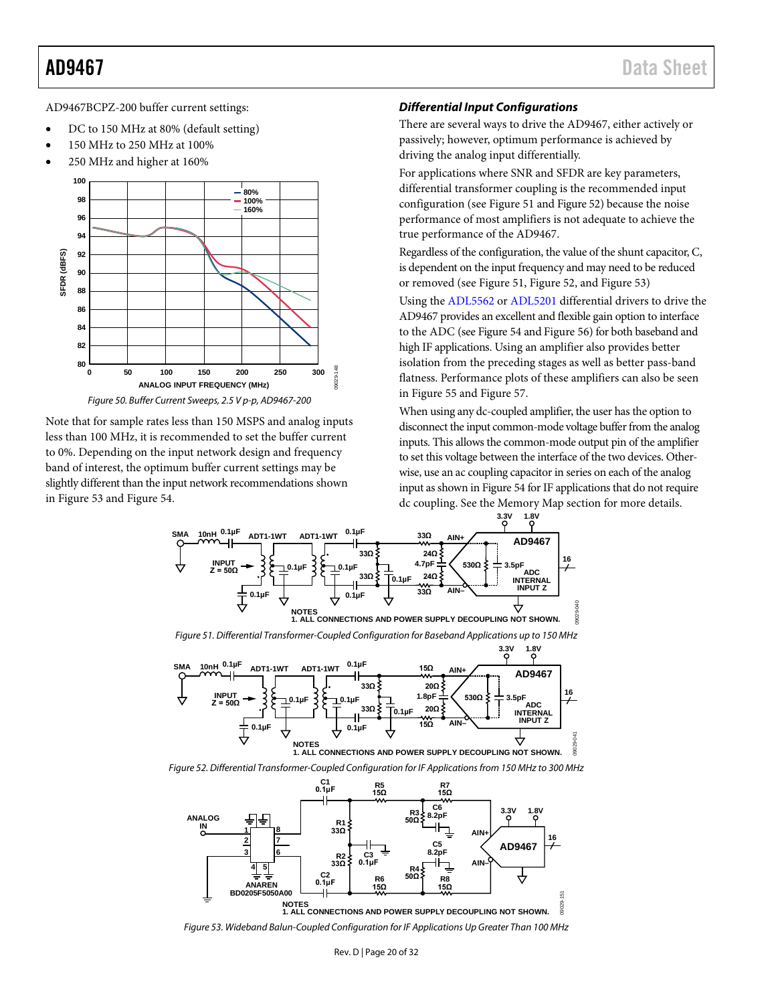AD9467BCPZ-200 buffer current settings:

- DC to 150 MHz at 80% (default setting)
- 150 MHz to 250 MHz at 100%
- 250 MHz and higher at 160%

![](_page_19_Figure_6.jpeg)

Note that for sample rates less than 150 MSPS and analog inputs less than 100 MHz, it is recommended to set the buffer current to 0%. Depending on the input network design and frequency band of interest, the optimum buffer current settings may be slightly different than the input network recommendations shown in [Figure 53](#page-19-2) and [Figure 54.](#page-20-0) 

#### *Differential Input Configurations*

There are several ways to drive the AD9467, either actively or passively; however, optimum performance is achieved by driving the analog input differentially.

For applications where SNR and SFDR are key parameters, differential transformer coupling is the recommended input configuration (see [Figure 51](#page-19-0) and [Figure 52\)](#page-19-1) because the noise performance of most amplifiers is not adequate to achieve the true performance of the AD9467.

Regardless of the configuration, the value of the shunt capacitor, C, is dependent on the input frequency and may need to be reduced or removed (see [Figure 51,](#page-19-0) [Figure 52,](#page-19-1) an[d Figure 53\)](#page-19-2)

Using the [ADL5562](http://www.analog.com/adl5562) or [ADL5201](http://www.analog.com/ADL5201) differential drivers to drive the AD9467 provides an [excellent](http://www.analog.com/ada4960) and flexible gain option to interface to the ADC (se[e Figure](#page-20-0) 54 an[d Figure 56\)](#page-20-1) for both baseband and high IF applications. Using an amplifier also provides better isolation from the preceding stages as well as better pass-band flatness. Performance plots of these amplifiers can also be seen in [Figure 55](#page-20-2) and [Figure 57.](#page-20-3) 

When using any dc-coupled amplifier, the user has the option to disconnect the input common-mode voltage buffer from the analog inputs. This allows the common-mode output pin of the amplifier to set this voltage between the interface of the two devices. Otherwise, use an ac coupling capacitor in series on each of the analog input as shown i[n Figure 54](#page-20-0) for IF applications that do not require dc coupling. See the [Memory Map](#page-27-0) section for more details.

![](_page_19_Figure_14.jpeg)

<span id="page-19-0"></span>![](_page_19_Figure_15.jpeg)

<span id="page-19-1"></span>*Figure 52. Differential Transformer-Coupled Configuration for IF Applications from 150 MHz to 300 MHz*

![](_page_19_Figure_17.jpeg)

<span id="page-19-2"></span>*Figure 53. Wideband Balun-Coupled Configuration for IF Applications Up Greater Than 100 MHz*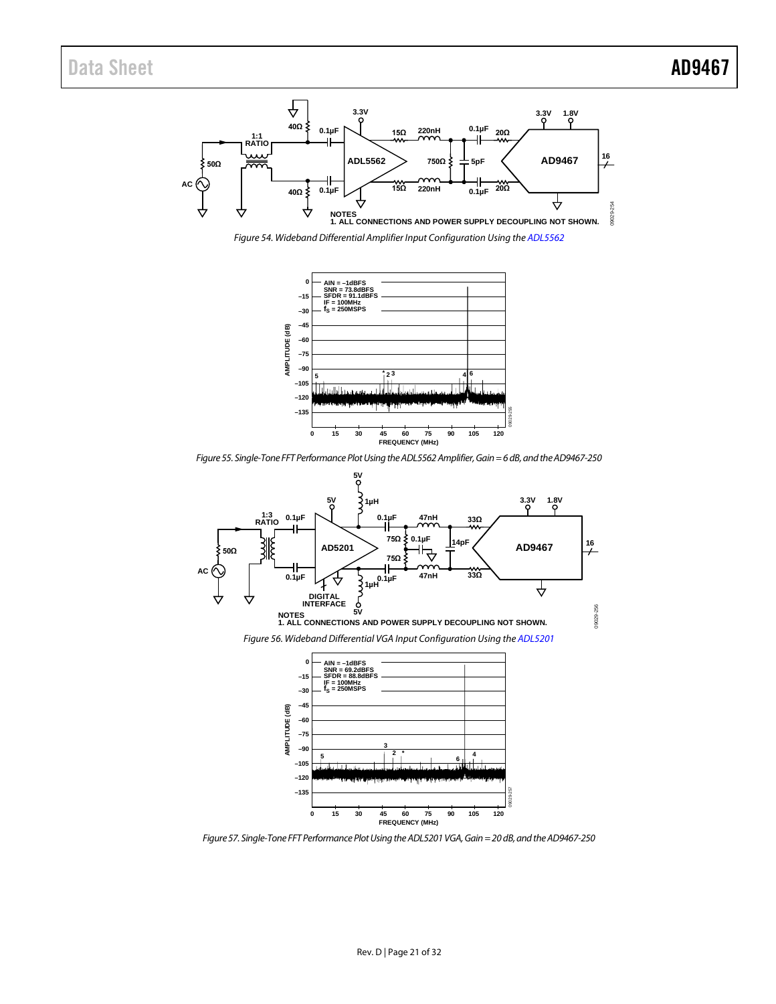![](_page_20_Figure_2.jpeg)

<span id="page-20-0"></span>*Figure 54. Wideband Differential Amplifier Input Configuration Using th[e ADL5562](http://www.analog.com/adl5562)*

![](_page_20_Figure_4.jpeg)

*Figure 55. Single-Tone FFT Performance Plot Using the ADL5562 Amplifier, Gain = 6dB, and the AD9467-250* 

<span id="page-20-2"></span><span id="page-20-1"></span>![](_page_20_Figure_6.jpeg)

<span id="page-20-3"></span>*Figure 57. Single-Tone FFT Performance Plot Using the ADL5201 VGA, Gain = 20 dB, and the AD9467-250*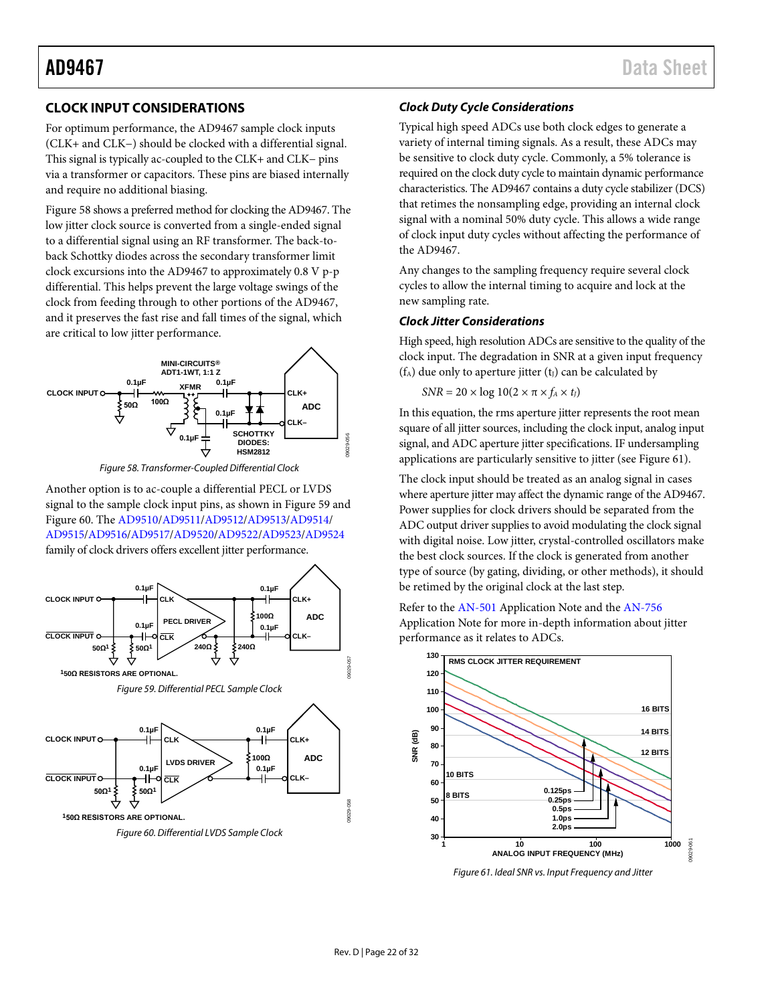### <span id="page-21-0"></span>**CLOCK INPUT CONSIDERATIONS**

For optimum performance, the AD9467 sample clock inputs (CLK+ and CLK−) should be clocked with a differential signal. This signal is typically ac-coupled to the CLK+ and CLK− pins via a transformer or capacitors. These pins are biased internally and require no additional biasing.

[Figure 58](#page-21-1) shows a preferred method for clocking the AD9467. The low jitter clock source is converted from a single-ended signal to a differential signal using an RF transformer. The back-toback Schottky diodes across the secondary transformer limit clock excursions into the AD9467 to approximately 0.8 V p-p differential. This helps prevent the large voltage swings of the clock from feeding through to other portions of the AD9467, and it preserves the fast rise and fall times of the signal, which are critical to low jitter performance.

![](_page_21_Figure_5.jpeg)

*Figure 58. Transformer-Coupled Differential Clock* 

<span id="page-21-1"></span>Another option is to ac-couple a differential PECL or LVDS signal to the sample clock input pins, as shown in [Figure 59](#page-21-2) and [Figure 60.](#page-21-3) The [AD9510/](http://www.analog.com/ad9510)[AD9511](http://www.analog.com/ad9511)[/AD9512/](http://www.analog.com/ad9512)[AD9513/](http://www.analog.com/ad9513)[AD9514/](http://www.analog.com/ad9514) [AD9515](http://www.analog.com/ad9515)[/AD9516/](http://www.analog.com/ad9516-0)[AD9517/](http://www.analog.com/ad9517-0)[AD9520](http://www.analog.com/ad9520-0)[/AD9522/](http://www.analog.com/ad9522-0)[AD9523/](http://www.analog.com/ad9523)[AD9524](http://www.analog.com/ad9524) family of clock drivers offers excellent jitter performance.

<span id="page-21-3"></span><span id="page-21-2"></span>![](_page_21_Figure_8.jpeg)

### *Clock Duty Cycle Considerations*

Typical high speed ADCs use both clock edges to generate a variety of internal timing signals. As a result, these ADCs may be sensitive to clock duty cycle. Commonly, a 5% tolerance is required on the clock duty cycle to maintain dynamic performance characteristics. The AD9467 contains a duty cycle stabilizer (DCS) that retimes the nonsampling edge, providing an internal clock signal with a nominal 50% duty cycle. This allows a wide range of clock input duty cycles without affecting the performance of the AD9467.

Any changes to the sampling frequency require several clock cycles to allow the internal timing to acquire and lock at the new sampling rate.

#### *Clock Jitter Considerations*

High speed, high resolution ADCs are sensitive to the quality of the clock input. The degradation in SNR at a given input frequency  $(f_A)$  due only to aperture jitter  $(t_J)$  can be calculated by

$$
SNR = 20 \times \log 10(2 \times \pi \times f_A \times t_J)
$$

In this equation, the rms aperture jitter represents the root mean square of all jitter sources, including the clock input, analog input signal, and ADC aperture jitter specifications. IF undersampling applications are particularly sensitive to jitter (se[e Figure 61\)](#page-21-4).

The clock input should be treated as an analog signal in cases where aperture jitter may affect the dynamic range of the AD9467. Power supplies for clock drivers should be separated from the ADC output driver supplies to avoid modulating the clock signal with digital noise. Low jitter, crystal-controlled oscillators make the best clock sources. If the clock is generated from another type of source (by gating, dividing, or other methods), it should be retimed by the original clock at the last step.

Refer to th[e AN-501](http://www.analog.com/AN-501) Application Note and the [AN-756](http://www.analog.com/an-756) Application Note for more in-depth information about jitter performance as it relates to ADCs.

![](_page_21_Figure_18.jpeg)

<span id="page-21-4"></span>*Figure 61. Ideal SNR vs. Input Frequency and Jitter*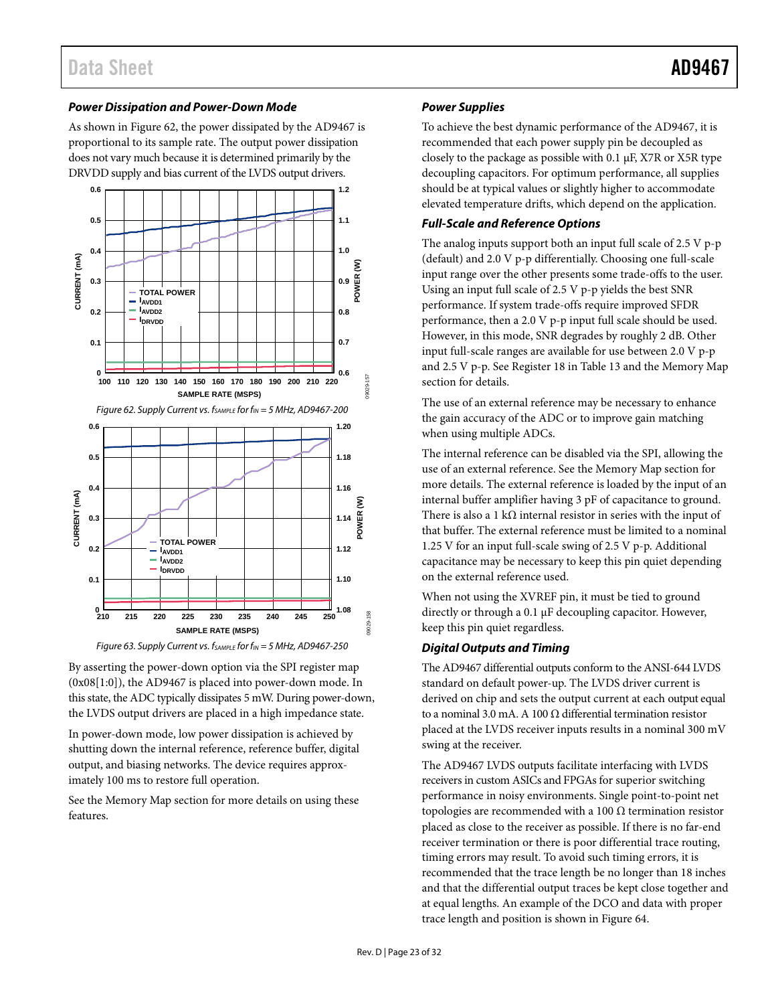#### *Power Dissipation and Power-Down Mode*

As shown in [Figure](#page-22-1) 62, the power dissipated by the AD9467 is proportional to its sample rate. The output power dissipation does not vary much because it is determined primarily by the DRVDD supply and bias current of the LVDS output drivers.

<span id="page-22-1"></span>![](_page_22_Figure_4.jpeg)

![](_page_22_Figure_5.jpeg)

By asserting the power-down option via the SPI register map (0x08[1:0]), the AD9467 is placed into power-down mode. In this state, the ADC typically dissipates 5 mW. During power-down, the LVDS output drivers are placed in a high impedance state.

In power-down mode, low power dissipation is achieved by shutting down the internal reference, reference buffer, digital output, and biasing networks. The device requires approximately 100 ms to restore full operation.

See the [Memory Map](#page-27-0) section for more details on using these features.

#### *Power Supplies*

To achieve the best dynamic performance of the AD9467, it is recommended that each power supply pin be decoupled as closely to the package as possible with 0.1 µF, X7R or X5R type decoupling capacitors. For optimum performance, all supplies should be at typical values or slightly higher to accommodate elevated temperature drifts, which depend on the application.

#### <span id="page-22-0"></span>*Full-Scale and Reference Options*

The analog inputs support both an input full scale of 2.5 V p-p (default) and 2.0 V p-p differentially. Choosing one full-scale input range over the other presents some trade-offs to the user. Using an input full scale of 2.5 V p-p yields the best SNR performance. If system trade-offs require improved SFDR performance, then a 2.0 V p-p input full scale should be used. However, in this mode, SNR degrades by roughly 2 dB. Other input full-scale ranges are available for use between 2.0 V p-p and 2.5 V p-p. See Register 18 i[n Table 13](#page-27-5) and th[e Memory Map](#page-27-0) section for details.

The use of an external reference may be necessary to enhance the gain accuracy of the ADC or to improve gain matching when using multiple ADCs.

The internal reference can be disabled via the SPI, allowing the use of an external reference. See the [Memory Map](#page-27-0) section for more details. The external reference is loaded by the input of an internal buffer amplifier having 3 pF of capacitance to ground. There is also a 1 k $\Omega$  internal resistor in series with the input of that buffer. The external reference must be limited to a nominal 1.25 V for an input full-scale swing of 2.5 V p-p. Additional capacitance may be necessary to keep this pin quiet depending on the external reference used.

When not using the XVREF pin, it must be tied to ground directly or through a 0.1 µF decoupling capacitor. However, keep this pin quiet regardless.

#### <span id="page-22-2"></span>*Digital Outputs and Timing*

The AD9467 differential outputs conform to the ANSI-644 LVDS standard on default power-up. The LVDS driver current is derived on chip and sets the output current at each output equal to a nominal 3.0 mA. A 100  $\Omega$  differential termination resistor placed at the LVDS receiver inputs results in a nominal 300 mV swing at the receiver.

The AD9467 LVDS outputs facilitate interfacing with LVDS receivers in custom ASICs and FPGAs for superior switching performance in noisy environments. Single point-to-point net topologies are recommended with a 100 Ω termination resistor placed as close to the receiver as possible. If there is no far-end receiver termination or there is poor differential trace routing, timing errors may result. To avoid such timing errors, it is recommended that the trace length be no longer than 18 inches and that the differential output traces be kept close together and at equal lengths. An example of the DCO and data with proper trace length and position is shown in [Figure 64.](#page-23-0)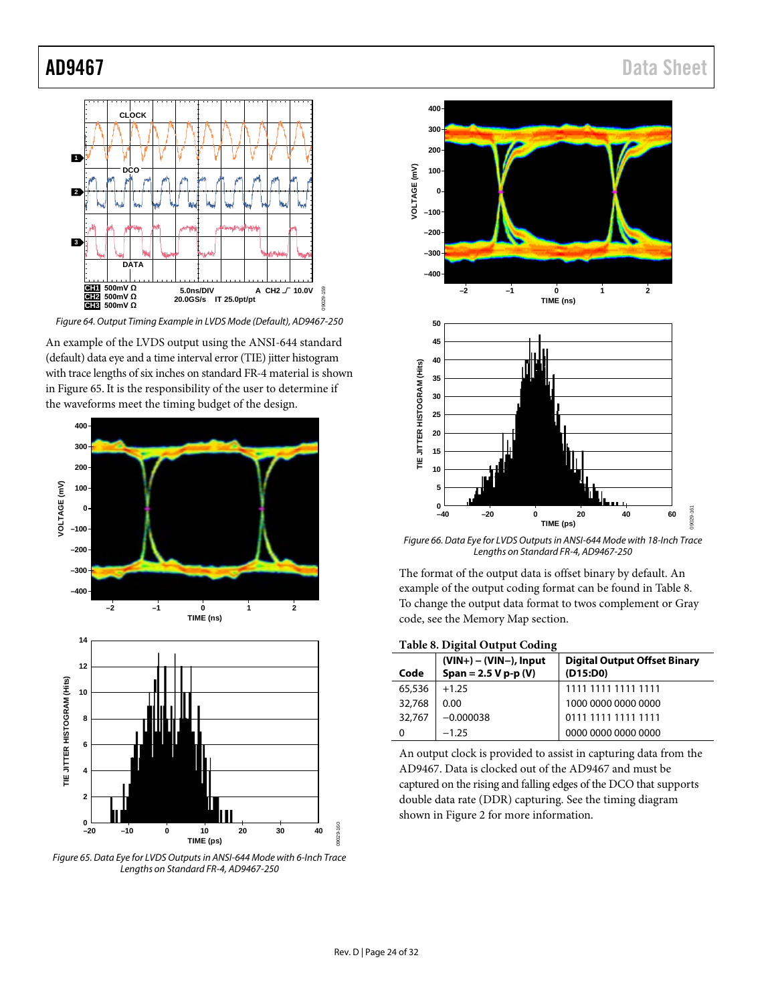![](_page_23_Figure_1.jpeg)

<span id="page-23-0"></span>*Figure 64. Output Timing Example in LVDS Mode (Default), AD9467-250* 

An example of the LVDS output using the ANSI-644 standard (default) data eye and a time interval error (TIE) jitter histogram with trace lengths of six inches on standard FR-4 material is shown i[n Figure 65.](#page-23-1) It is the responsibility of the user to determine if the waveforms meet the timing budget of the design.

![](_page_23_Figure_4.jpeg)

<span id="page-23-1"></span>*Figure 65. Data Eye for LVDS Outputs in ANSI-644 Mode with 6-Inch Trace Lengths on Standard FR-4, AD9467-250*

![](_page_23_Figure_6.jpeg)

*Figure 66. Data Eye for LVDS Outputs in ANSI-644 Mode with 18-Inch Trace Lengths on Standard FR-4, AD9467-250* 

The format of the output data is offset binary by default. An example of the output coding format can be found i[n Table 8.](#page-23-2)  To change the output data format to twos complement or Gray code, see th[e Memory Map](#page-27-0) section.

<span id="page-23-2"></span>**Table 8. Digital Output Coding**

| Code   | $(VIN+) - (VIN-)$ , Input<br>$Span = 2.5 V p-p (V)$ | <b>Digital Output Offset Binary</b><br>(D15:DD) |
|--------|-----------------------------------------------------|-------------------------------------------------|
| 65,536 | $+1.25$                                             | 1111 1111 1111 1111                             |
| 32,768 | 0.00                                                | 1000 0000 0000 0000                             |
| 32,767 | $-0.000038$                                         | 0111 1111 1111 1111                             |
|        | $-1.25$                                             | 0000 0000 0000 0000                             |

An output clock is provided to assist in capturing data from the AD9467. Data is clocked out of the AD9467 and must be captured on the rising and falling edges of the DCO that supports double data rate (DDR) capturing. See the timing diagram shown in [Figure 2](#page-6-1) for more information.

# AD9467 Data Sheet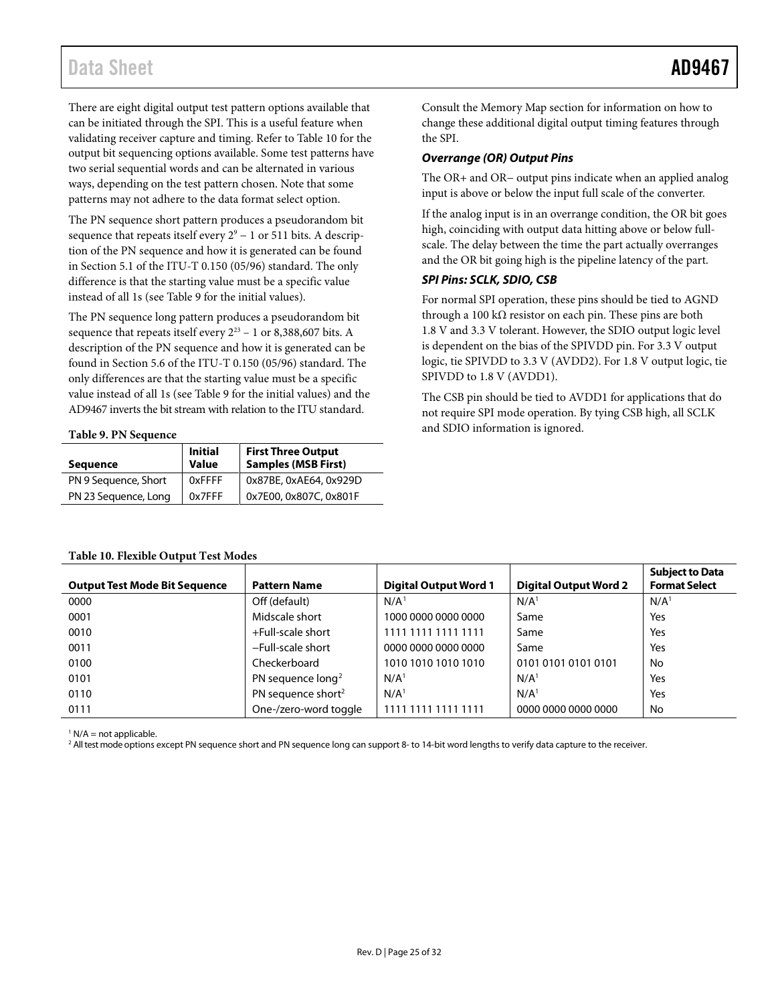There are eight digital output test pattern options available that can be initiated through the SPI. This is a useful feature when validating receiver capture and timing. Refer t[o Table 10](#page-24-0) for the output bit sequencing options available. Some test patterns have two serial sequential words and can be alternated in various ways, depending on the test pattern chosen. Note that some patterns may not adhere to the data format select option.

The PN sequence short pattern produces a pseudorandom bit sequence that repeats itself every  $2^9 - 1$  or 511 bits. A description of the PN sequence and how it is generated can be found in Section 5.1 of the ITU-T 0.150 (05/96) standard. The only difference is that the starting value must be a specific value instead of all 1s (se[e Table 9](#page-24-1) for the initial values).

The PN sequence long pattern produces a pseudorandom bit sequence that repeats itself every  $2^{23}$  – 1 or 8,388,607 bits. A description of the PN sequence and how it is generated can be found in Section 5.6 of the ITU-T 0.150 (05/96) standard. The only differences are that the starting value must be a specific value instead of all 1s (see [Table 9](#page-24-1) for the initial values) and the AD9467 inverts the bit stream with relation to the ITU standard.

#### <span id="page-24-1"></span>**Table 9. PN Sequence**

<span id="page-24-0"></span>**Table 10. Flexible Output Test Modes**

| <b>Sequence</b>      | <b>Initial</b><br><b>Value</b> | <b>First Three Output</b><br><b>Samples (MSB First)</b> |  |  |  |  |
|----------------------|--------------------------------|---------------------------------------------------------|--|--|--|--|
| PN 9 Sequence, Short | 0xFFFF                         | 0x87BE, 0xAE64, 0x929D                                  |  |  |  |  |
| PN 23 Sequence, Long | 0x7FFF                         | 0x7E00, 0x807C, 0x801F                                  |  |  |  |  |

Consult th[e Memory Map](#page-27-0) section for information on how to change these additional digital output timing features through the SPI.

#### *Overrange (OR) Output Pins*

The OR+ and OR− output pins indicate when an applied analog input is above or below the input full scale of the converter.

If the analog input is in an overrange condition, the OR bit goes high, coinciding with output data hitting above or below fullscale. The delay between the time the part actually overranges and the OR bit going high is the pipeline latency of the part.

#### *SPI Pins: SCLK, SDIO, CSB*

For normal SPI operation, these pins should be tied to AGND through a 100 kΩ resistor on each pin. These pins are both 1.8 V and 3.3 V tolerant. However, the SDIO output logic level is dependent on the bias of the SPIVDD pin. For 3.3 V output logic, tie SPIVDD to 3.3 V (AVDD2). For 1.8 V output logic, tie SPIVDD to 1.8 V (AVDD1).

The CSB pin should be tied to AVDD1 for applications that do not require SPI mode operation. By tying CSB high, all SCLK and SDIO information is ignored.

#### **Output Test Mode Bit Sequence Pattern Name Digital Output Word 1 Digital Output Word 2 Subject to Data Format Select** 0000 Off (default) N/A<sup>1</sup> N/A<sup>1</sup> N/A<sup>1</sup> N/A<sup>1</sup> N/A<sup>1</sup> 0001 Midscale short 1000 0000 0000 0000 Same Yes 0010 +Full-scale short 1111 1111 1111 1111 Same Yes 0011 −Full-scale short 0000 0000 0000 0000 Same Yes 0100 Checkerboard 1010 1010 1010 1010 0101 0101 0101 0101 No 0101 PN sequence long<sup>2</sup> N/A<sup>1</sup> N/A<sup>1</sup> N/A<sup>1</sup> N/A<sup>1</sup> Yes 0110 **PN sequence short<sup>2</sup>** N/A<sup>1</sup> N/A<sup>1</sup> N/A<sup>1</sup> Yes 0111 One-/zero-word toggle 1111 1111 1111 1111 0000 0000 0000 0000 No

 $1 N/A$  = not applicable.

<sup>2</sup> All test mode options except PN sequence short and PN sequence long can support 8- to 14-bit word lengths to verify data capture to the receiver.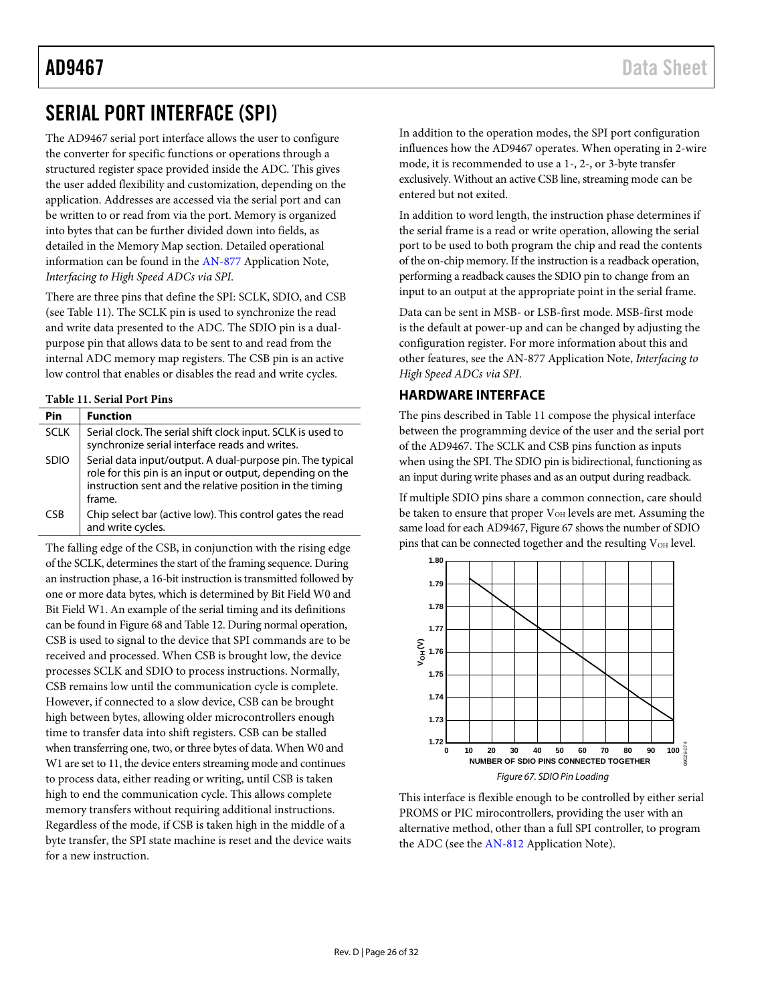# <span id="page-25-0"></span>SERIAL PORT INTERFACE (SPI)

The AD9467 serial port interface allows the user to configure the converter for specific functions or operations through a structured register space provided inside the ADC. This gives the user added flexibility and customization, depending on the application. Addresses are accessed via the serial port and can be written to or read from via the port. Memory is organized into bytes that can be further divided down into fields, as detailed in th[e Memory Map](#page-27-0) section. Detailed operational information can be found in th[e AN-877](http://www.analog.com/an-877) Application Note, *Interfacing to High Speed ADCs via SPI*.

There are three pins that define the SPI: SCLK, SDIO, and CSB (see [Table 11\)](#page-25-2). The SCLK pin is used to synchronize the read and write data presented to the ADC. The SDIO pin is a dualpurpose pin that allows data to be sent to and read from the internal ADC memory map registers. The CSB pin is an active low control that enables or disables the read and write cycles.

#### <span id="page-25-2"></span>**Table 11. Serial Port Pins**

| Pin         | <b>Function</b>                                                                                                                                                                              |
|-------------|----------------------------------------------------------------------------------------------------------------------------------------------------------------------------------------------|
| <b>SCLK</b> | Serial clock. The serial shift clock input. SCLK is used to<br>synchronize serial interface reads and writes.                                                                                |
| <b>SDIO</b> | Serial data input/output. A dual-purpose pin. The typical<br>role for this pin is an input or output, depending on the<br>instruction sent and the relative position in the timing<br>frame. |
| CSB         | Chip select bar (active low). This control gates the read<br>and write cycles.                                                                                                               |

The falling edge of the CSB, in conjunction with the rising edge of the SCLK, determines the start of the framing sequence. During an instruction phase, a 16-bit instruction is transmitted followed by one or more data bytes, which is determined by Bit Field W0 and Bit Field W1. An example of the serial timing and its definitions can be found i[n Figure 68](#page-26-0) and [Table 12.](#page-26-1) During normal operation, CSB is used to signal to the device that SPI commands are to be received and processed. When CSB is brought low, the device processes SCLK and SDIO to process instructions. Normally, CSB remains low until the communication cycle is complete. However, if connected to a slow device, CSB can be brought high between bytes, allowing older microcontrollers enough time to transfer data into shift registers. CSB can be stalled when transferring one, two, or three bytes of data. When W0 and W1 are set to 11, the device enters streaming mode and continues to process data, either reading or writing, until CSB is taken high to end the communication cycle. This allows complete memory transfers without requiring additional instructions. Regardless of the mode, if CSB is taken high in the middle of a byte transfer, the SPI state machine is reset and the device waits for a new instruction.

In addition to the operation modes, the SPI port configuration influences how the AD9467 operates. When operating in 2-wire mode, it is recommended to use a 1-, 2-, or 3-byte transfer exclusively. Without an active CSB line, streaming mode can be entered but not exited.

In addition to word length, the instruction phase determines if the serial frame is a read or write operation, allowing the serial port to be used to both program the chip and read the contents of the on-chip memory. If the instruction is a readback operation, performing a readback causes the SDIO pin to change from an input to an output at the appropriate point in the serial frame.

Data can be sent in MSB- or LSB-first mode. MSB-first mode is the default at power-up and can be changed by adjusting the configuration register. For more information about this and other features, see th[e AN-877 Application Note,](http://www.analog.com/AN-877) *Interfacing to High Speed ADCs via SPI*.

### <span id="page-25-1"></span>**HARDWARE INTERFACE**

The pins described in [Table 11](#page-25-2) compose the physical interface between the programming device of the user and the serial port of the AD9467. The SCLK and CSB pins function as inputs when using the SPI. The SDIO pin is bidirectional, functioning as an input during write phases and as an output during readback.

If multiple SDIO pins share a common connection, care should be taken to ensure that proper V<sub>OH</sub> levels are met. Assuming the same load for each AD9467[, Figure 67](#page-25-3) shows the number of SDIO pins that can be connected together and the resulting V<sub>OH</sub> level.

![](_page_25_Figure_14.jpeg)

<span id="page-25-3"></span>This interface is flexible enough to be controlled by either serial PROMS or PIC mirocontrollers, providing the user with an alternative method, other than a full SPI controller, to program the ADC (see th[e AN-812](http://www.analog.com/an-812) Application Note).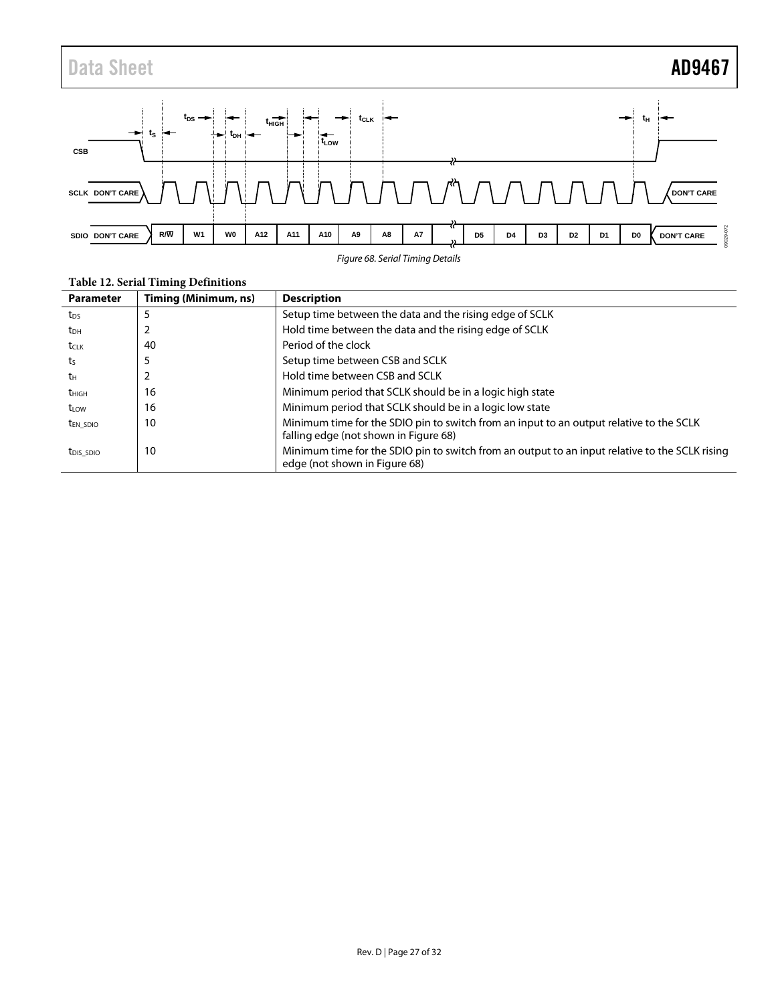![](_page_26_Figure_1.jpeg)

*Figure 68. Serial Timing Details*

|                       | ້                    |                                                                                                                                  |
|-----------------------|----------------------|----------------------------------------------------------------------------------------------------------------------------------|
| <b>Parameter</b>      | Timing (Minimum, ns) | <b>Description</b>                                                                                                               |
| t <sub>DS</sub>       |                      | Setup time between the data and the rising edge of SCLK                                                                          |
| t <sub>DH</sub>       |                      | Hold time between the data and the rising edge of SCLK                                                                           |
| t <sub>CLK</sub>      | 40                   | Period of the clock                                                                                                              |
| ts                    |                      | Setup time between CSB and SCLK                                                                                                  |
| tн                    |                      | Hold time between CSB and SCLK                                                                                                   |
| t <sub>HIGH</sub>     | 16                   | Minimum period that SCLK should be in a logic high state                                                                         |
| t <sub>LOW</sub>      | 16                   | Minimum period that SCLK should be in a logic low state                                                                          |
| t <sub>en sdio</sub>  | 10                   | Minimum time for the SDIO pin to switch from an input to an output relative to the SCLK<br>falling edge (not shown in Figure 68) |
| t <sub>DIS</sub> SDIO | 10                   | Minimum time for the SDIO pin to switch from an output to an input relative to the SCLK rising<br>edge (not shown in Figure 68)  |

#### <span id="page-26-1"></span><span id="page-26-0"></span>**Table 12. Serial Timing Definitions**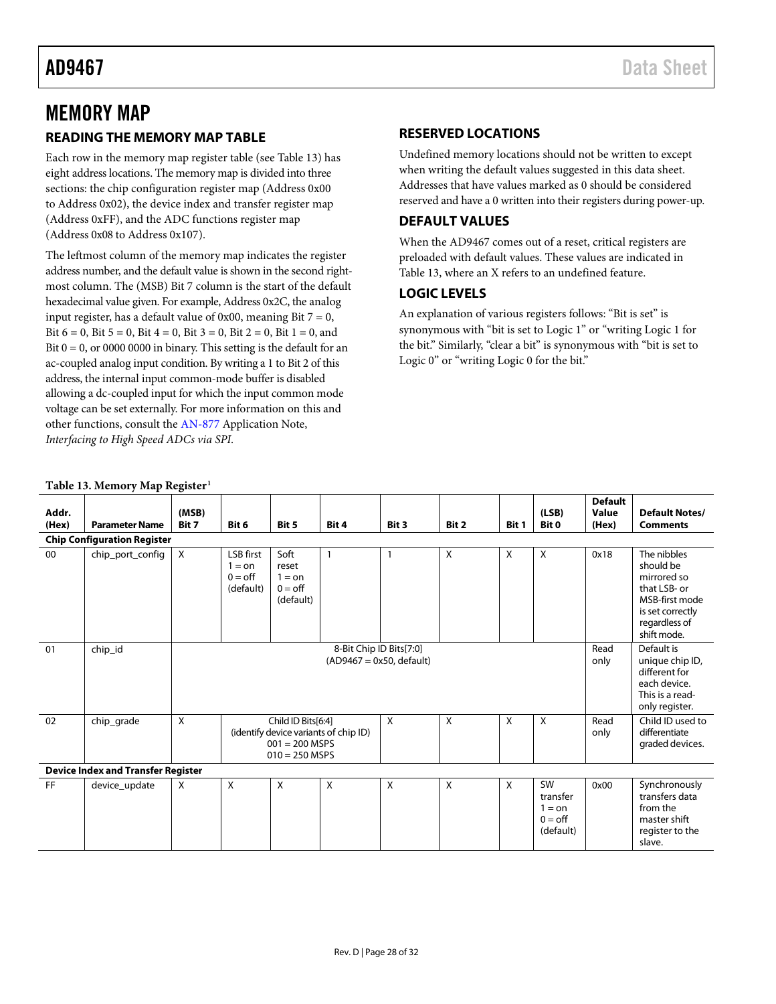# <span id="page-27-0"></span>MEMORY MAP

### <span id="page-27-1"></span>**READING THE MEMORY MAP TABLE**

Each row in the memory map register table (see [Table 13\)](#page-27-5) has eight address locations. The memory map is divided into three sections: the chip configuration register map (Address 0x00 to Address 0x02), the device index and transfer register map (Address 0xFF), and the ADC functions register map (Address 0x08 to Address 0x107).

The leftmost column of the memory map indicates the register address number, and the default value is shown in the second rightmost column. The (MSB) Bit 7 column is the start of the default hexadecimal value given. For example, Address 0x2C, the analog input register, has a default value of  $0x00$ , meaning Bit  $7 = 0$ , Bit  $6 = 0$ , Bit  $5 = 0$ , Bit  $4 = 0$ , Bit  $3 = 0$ , Bit  $2 = 0$ , Bit  $1 = 0$ , and Bit  $0 = 0$ , or 0000 0000 in binary. This setting is the default for an ac-coupled analog input condition. By writing a 1 to Bit 2 of this address, the internal input common-mode buffer is disabled allowing a dc-coupled input for which the input common mode voltage can be set externally. For more information on this and other functions, consult th[e AN-877](http://www.analog.com/an-877) Application Note, *Interfacing to High Speed ADCs via SPI*.

### <span id="page-27-2"></span>**RESERVED LOCATIONS**

Undefined memory locations should not be written to except when writing the default values suggested in this data sheet. Addresses that have values marked as 0 should be considered reserved and have a 0 written into their registers during power-up.

#### <span id="page-27-3"></span>**DEFAULT VALUES**

When the AD9467 comes out of a reset, critical registers are preloaded with default values. These values are indicated in [Table 13,](#page-27-5) where an X refers to an undefined feature.

### <span id="page-27-4"></span>**LOGIC LEVELS**

An explanation of various registers follows: "Bit is set" is synonymous with "bit is set to Logic 1" or "writing Logic 1 for the bit." Similarly, "clear a bit" is synonymous with "bit is set to Logic 0" or "writing Logic 0 for the bit."

#### <span id="page-27-5"></span>**Table 13. Memory Map Register[1](#page-29-0)**

| Addr.<br>(Hex)                            | <b>Parameter Name</b> | (MSB)<br>Bit 7                                                                                                               | Bit 6                                                         | Bit 5                                                      | Bit 4        | Bit 3 | Bit 2 | Bit 1 | (LSB)<br>Bit 0                                              | <b>Default</b><br>Value<br>(Hex)                     | <b>Default Notes/</b><br><b>Comments</b>                                                                                      |
|-------------------------------------------|-----------------------|------------------------------------------------------------------------------------------------------------------------------|---------------------------------------------------------------|------------------------------------------------------------|--------------|-------|-------|-------|-------------------------------------------------------------|------------------------------------------------------|-------------------------------------------------------------------------------------------------------------------------------|
| <b>Chip Configuration Register</b>        |                       |                                                                                                                              |                                                               |                                                            |              |       |       |       |                                                             |                                                      |                                                                                                                               |
| 00                                        | chip_port_config      | X                                                                                                                            | <b>LSB</b> first<br>$1 =$ on<br>$0 = \text{off}$<br>(default) | Soft<br>reset<br>$1 =$ on<br>$0 = \text{off}$<br>(default) | $\mathbf{1}$ | -1    | X     | X     | X                                                           | 0x18                                                 | The nibbles<br>should be<br>mirrored so<br>that LSB- or<br>MSB-first mode<br>is set correctly<br>regardless of<br>shift mode. |
| 01                                        | chip_id               | 8-Bit Chip ID Bits[7:0]<br>$(AD9467 = 0x50, default)$                                                                        |                                                               |                                                            |              |       |       |       |                                                             | Read<br>only                                         | Default is<br>unique chip ID,<br>different for<br>each device.<br>This is a read-<br>only register.                           |
| 02                                        | chip_grade            | X<br>X<br>X<br>X<br>Child ID Bits[6:4]<br>X<br>(identify device variants of chip ID)<br>$001 = 200$ MSPS<br>$010 = 250$ MSPS |                                                               |                                                            |              |       |       |       | Read<br>only                                                | Child ID used to<br>differentiate<br>graded devices. |                                                                                                                               |
| <b>Device Index and Transfer Register</b> |                       |                                                                                                                              |                                                               |                                                            |              |       |       |       |                                                             |                                                      |                                                                                                                               |
| <b>FF</b>                                 | device_update         | X                                                                                                                            | X                                                             | $\mathsf{X}$                                               | X            | X     | X     | X     | SW<br>transfer<br>$1 =$ on<br>$0 = \text{off}$<br>(default) | 0x00                                                 | Synchronously<br>transfers data<br>from the<br>master shift<br>register to the<br>slave.                                      |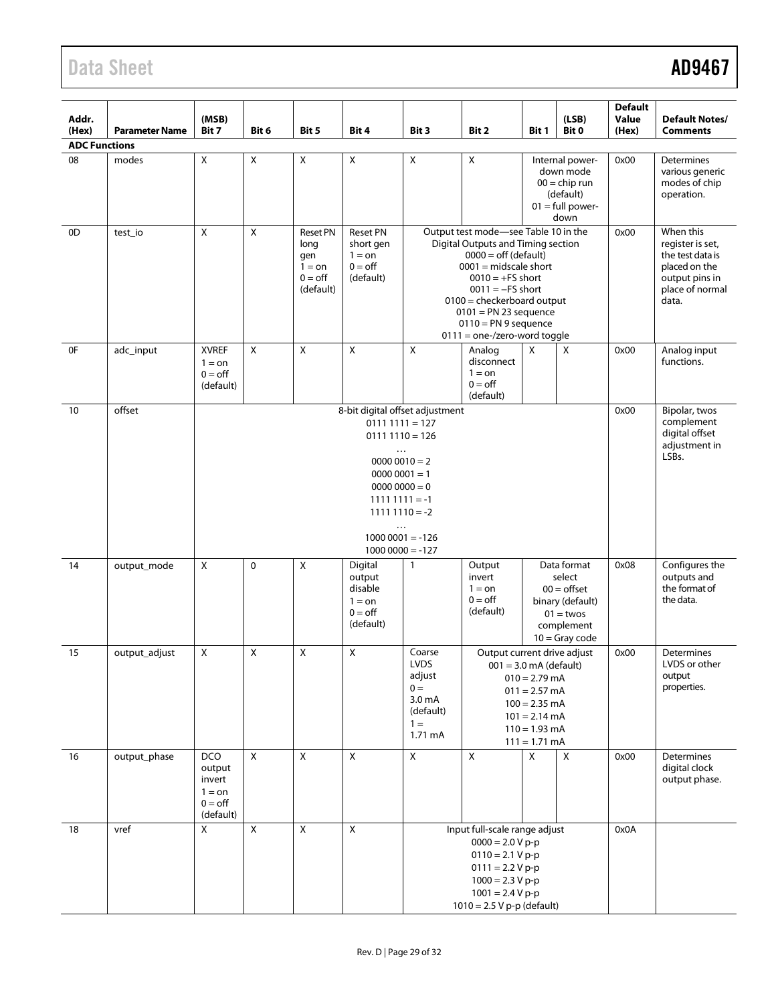| Addr.<br>(Hex)       | <b>Parameter Name</b> | (MSB)<br>Bit 7                                                                                                                                                                              | Bit 6          | Bit 5                                                                       | Bit 4                                                                           | Bit 3                                                                                                                                                                                                                                                                                | Bit 2                                                                                                                                                                                                                                                                                             | Bit 1 | (LSB)<br>Bit 0                                                                                              | <b>Default</b><br>Value<br>(Hex) | <b>Default Notes/</b><br><b>Comments</b>                                                                         |
|----------------------|-----------------------|---------------------------------------------------------------------------------------------------------------------------------------------------------------------------------------------|----------------|-----------------------------------------------------------------------------|---------------------------------------------------------------------------------|--------------------------------------------------------------------------------------------------------------------------------------------------------------------------------------------------------------------------------------------------------------------------------------|---------------------------------------------------------------------------------------------------------------------------------------------------------------------------------------------------------------------------------------------------------------------------------------------------|-------|-------------------------------------------------------------------------------------------------------------|----------------------------------|------------------------------------------------------------------------------------------------------------------|
| <b>ADC Functions</b> |                       |                                                                                                                                                                                             |                |                                                                             |                                                                                 |                                                                                                                                                                                                                                                                                      |                                                                                                                                                                                                                                                                                                   |       |                                                                                                             |                                  |                                                                                                                  |
| 08                   | modes                 | $\mathsf X$                                                                                                                                                                                 | $\pmb{\times}$ | $\pmb{\times}$                                                              | $\pmb{\times}$                                                                  | $\pmb{\times}$                                                                                                                                                                                                                                                                       | $\mathsf X$                                                                                                                                                                                                                                                                                       | 0x00  | <b>Determines</b><br>various generic<br>modes of chip<br>operation.                                         |                                  |                                                                                                                  |
| 0D                   | test_io               | $\pmb{\mathsf{X}}$                                                                                                                                                                          | $\pmb{\times}$ | <b>Reset PN</b><br>long<br>qen<br>$1 = on$<br>$0 = \text{off}$<br>(default) | <b>Reset PN</b><br>short gen<br>$1 =$ on<br>$0 = \text{off}$<br>(default)       |                                                                                                                                                                                                                                                                                      | Output test mode-see Table 10 in the<br>Digital Outputs and Timing section<br>$0000 =$ off (default)<br>$0001$ = midscale short<br>$0010 = +FS$ short<br>$0011 = -FS$ short<br>$0100$ = checkerboard output<br>$0101$ = PN 23 sequence<br>$0110 = PN9$ sequence<br>$0111 =$ one-/zero-word toggle |       |                                                                                                             |                                  | When this<br>register is set,<br>the test data is<br>placed on the<br>output pins in<br>place of normal<br>data. |
| 0F                   | adc_input             | <b>XVREF</b><br>$1 = \text{on}$<br>$0 = \text{off}$<br>(default)                                                                                                                            | X              | $\mathsf{X}$                                                                | $\mathsf{X}$                                                                    | $\mathsf{X}$                                                                                                                                                                                                                                                                         | Analog<br>disconnect<br>$1 =$ on<br>$0 =$ off<br>(default)                                                                                                                                                                                                                                        | X     | X                                                                                                           | 0x00                             | Analog input<br>functions.                                                                                       |
| 10                   | offset                | 8-bit digital offset adjustment<br>$01111111 = 127$<br>$01111110 = 126$<br>$\cdots$<br>$00000010 = 2$<br>$00000001 = 1$<br>$00000000 = 0$<br>$11111111 = -1$<br>$11111110 = -2$<br>$\cdots$ |                |                                                                             |                                                                                 |                                                                                                                                                                                                                                                                                      |                                                                                                                                                                                                                                                                                                   |       |                                                                                                             | 0x00                             | Bipolar, twos<br>complement<br>digital offset<br>adjustment in<br>LSBs.                                          |
|                      |                       | $10000001 = -126$<br>$10000000 = -127$                                                                                                                                                      |                |                                                                             |                                                                                 |                                                                                                                                                                                                                                                                                      |                                                                                                                                                                                                                                                                                                   |       |                                                                                                             |                                  |                                                                                                                  |
| 14                   | output_mode           | $\pmb{\times}$                                                                                                                                                                              | $\mathbf 0$    | $\pmb{\mathsf{X}}$                                                          | Digital<br>output<br>disable<br>$1 = \Omega n$<br>$0 = \text{off}$<br>(default) | $\mathbf{1}$                                                                                                                                                                                                                                                                         | Output<br>invert<br>$1 =$ on<br>$0 = \text{off}$<br>(default)                                                                                                                                                                                                                                     |       | Data format<br>select<br>$00 =$ offset<br>binary (default)<br>$01 =$ twos<br>complement<br>$10 =$ Gray code | 0x08                             | Configures the<br>outputs and<br>the format of<br>the data.                                                      |
| 15                   | output_adjust         | $\pmb{\mathsf{X}}$                                                                                                                                                                          | Χ              | $\mathsf{x}$                                                                | X                                                                               | Coarse<br>Output current drive adjust<br><b>LVDS</b><br>$001 = 3.0$ mA (default)<br>adjust<br>$010 = 2.79$ mA<br>$0 =$<br>$011 = 2.57$ mA<br>3.0 <sub>m</sub> A<br>$100 = 2.35$ mA<br>(default)<br>$101 = 2.14 \text{ mA}$<br>$1 =$<br>$110 = 1.93$ mA<br>1.71 mA<br>$111 = 1.71$ mA |                                                                                                                                                                                                                                                                                                   |       |                                                                                                             | 0x00                             | Determines<br>LVDS or other<br>output<br>properties.                                                             |
| 16                   | output_phase          | <b>DCO</b><br>output<br>invert<br>$1 =$ on<br>$0 = \text{off}$<br>(default)                                                                                                                 | X              | $\pmb{\mathsf{X}}$                                                          | $\pmb{\times}$                                                                  | X                                                                                                                                                                                                                                                                                    | X                                                                                                                                                                                                                                                                                                 | X     | X                                                                                                           | 0x00                             | <b>Determines</b><br>digital clock<br>output phase.                                                              |
| 18                   | vref                  | $\pmb{\mathsf{X}}$                                                                                                                                                                          | $\pmb{\times}$ | $\pmb{\times}$                                                              | $\pmb{\times}$                                                                  | Input full-scale range adjust<br>$0000 = 2.0 V p-p$<br>$0110 = 2.1 V p-p$<br>$0111 = 2.2 V p-p$<br>$1000 = 2.3 V p-p$<br>$1001 = 2.4 V p-p$<br>$1010 = 2.5 V p-p$ (default)                                                                                                          |                                                                                                                                                                                                                                                                                                   |       |                                                                                                             | 0x0A                             |                                                                                                                  |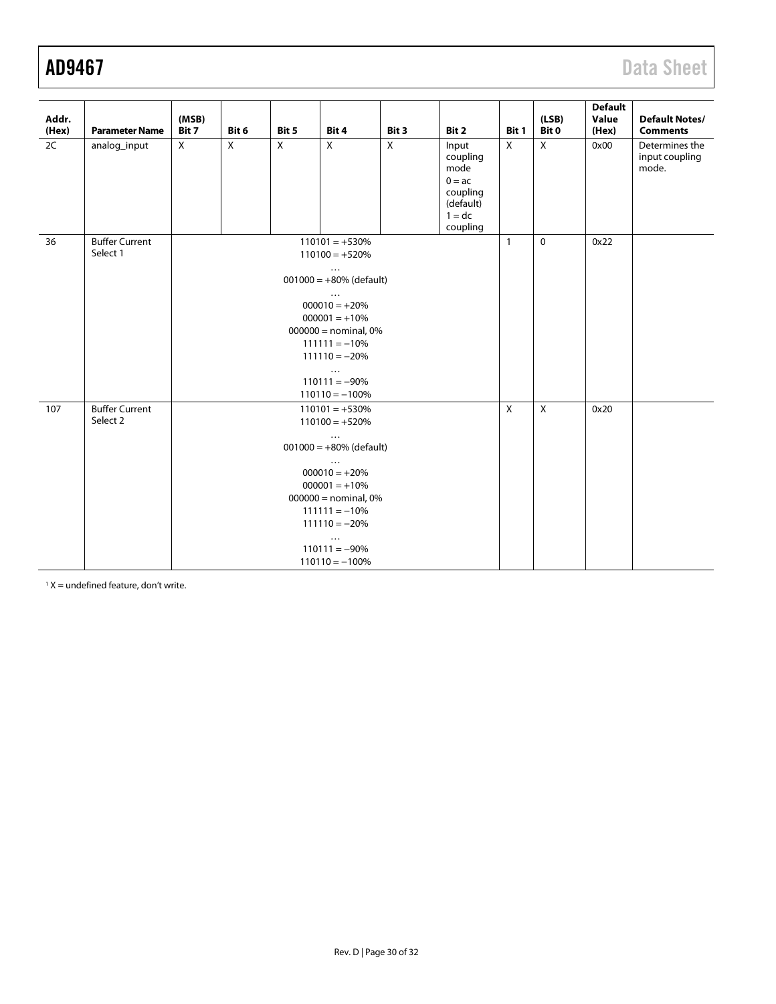<span id="page-29-0"></span>

| Addr.<br>(Hex) | <b>Parameter Name</b>             | (MSB)<br>Bit 7                                                                                                                                                                                                                                       | Bit 6                                                                                                                                                                                                                                                | Bit 5        | Bit 4                   | Bit 3          | Bit 2                                                                                  | Bit 1        | (LSB)<br>Bit 0 | <b>Default</b><br>Value<br>(Hex) | <b>Default Notes/</b><br><b>Comments</b>  |
|----------------|-----------------------------------|------------------------------------------------------------------------------------------------------------------------------------------------------------------------------------------------------------------------------------------------------|------------------------------------------------------------------------------------------------------------------------------------------------------------------------------------------------------------------------------------------------------|--------------|-------------------------|----------------|----------------------------------------------------------------------------------------|--------------|----------------|----------------------------------|-------------------------------------------|
| 2C             | analog_input                      | $\mathsf{X}$                                                                                                                                                                                                                                         | $\overline{X}$                                                                                                                                                                                                                                       | $\mathsf{X}$ | $\overline{\mathsf{x}}$ | $\overline{X}$ | Input<br>coupling<br>mode<br>$0 = ac$<br>coupling<br>(default)<br>$1 = dc$<br>coupling | X            | $\mathsf{X}$   | 0x00                             | Determines the<br>input coupling<br>mode. |
| 36             | <b>Buffer Current</b><br>Select 1 | $110101 = +530%$<br>$110100 = +520%$<br>$\cdots$<br>$001000 = +80\%$ (default)<br>$\ddots$<br>$000010 = +20%$<br>$000001 = +10%$<br>$000000 =$ nominal, 0%<br>$111111 = -10%$<br>$111110 = -20%$<br>$\ldots$<br>$110111 = -90\%$<br>$110110 = -100%$ |                                                                                                                                                                                                                                                      |              |                         |                |                                                                                        | $\mathbf{1}$ | $\mathbf 0$    | 0x22                             |                                           |
| 107            | <b>Buffer Current</b><br>Select 2 |                                                                                                                                                                                                                                                      | $110101 = +530%$<br>$110100 = +520%$<br>$\cdots$<br>$001000 = +80\%$ (default)<br>$\ddots$<br>$000010 = +20%$<br>$000001 = +10%$<br>$000000 =$ nominal, 0%<br>$111111 = -10%$<br>$111110 = -20%$<br>$\cdots$<br>$110111 = -90\%$<br>$110110 = -100%$ |              |                         |                |                                                                                        |              | $\mathsf{X}$   | 0x20                             |                                           |

 $1 X =$  undefined feature, don't write.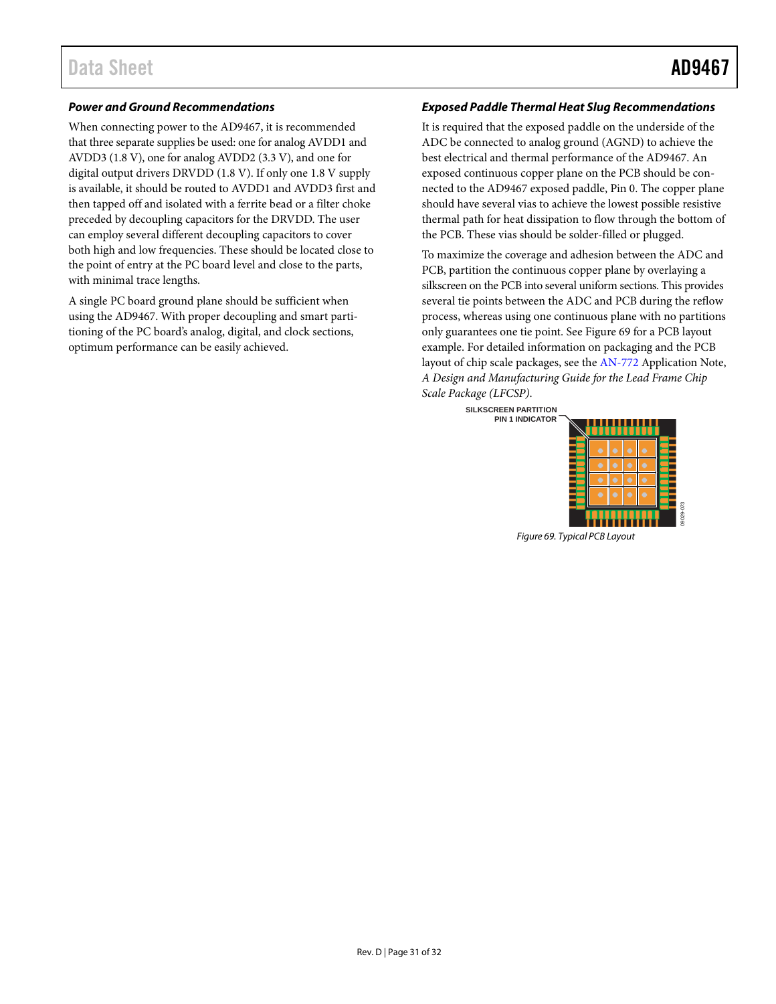#### *Power and Ground Recommendations*

When connecting power to the AD9467, it is recommended that three separate supplies be used: one for analog AVDD1 and AVDD3 (1.8 V), one for analog AVDD2 (3.3 V), and one for digital output drivers DRVDD (1.8 V). If only one 1.8 V supply is available, it should be routed to AVDD1 and AVDD3 first and then tapped off and isolated with a ferrite bead or a filter choke preceded by decoupling capacitors for the DRVDD. The user can employ several different decoupling capacitors to cover both high and low frequencies. These should be located close to the point of entry at the PC board level and close to the parts, with minimal trace lengths.

A single PC board ground plane should be sufficient when using the AD9467. With proper decoupling and smart partitioning of the PC board's analog, digital, and clock sections, optimum performance can be easily achieved.

#### *Exposed Paddle Thermal Heat Slug Recommendations*

It is required that the exposed paddle on the underside of the ADC be connected to analog ground (AGND) to achieve the best electrical and thermal performance of the AD9467. An exposed continuous copper plane on the PCB should be connected to the AD9467 exposed paddle, Pin 0. The copper plane should have several vias to achieve the lowest possible resistive thermal path for heat dissipation to flow through the bottom of the PCB. These vias should be solder-filled or plugged.

To maximize the coverage and adhesion between the ADC and PCB, partition the continuous copper plane by overlaying a silkscreen on the PCB into several uniform sections. This provides several tie points between the ADC and PCB during the reflow process, whereas using one continuous plane with no partitions only guarantees one tie point. See [Figure 69](#page-30-0) for a PCB layout example. For detailed information on packaging and the PCB layout of chip scale packages, see th[e AN-772](http://www.analog.com/an-772) Application Note, *A Design and Manufacturing Guide for the Lead Frame Chip Scale Package (LFCSP)*.

> **SILKSCREEN PARTITION PIN 1 INDICATOR**

![](_page_30_Figure_9.jpeg)

09029-073

<span id="page-30-0"></span>*Figure 69. Typical PCB Layout*